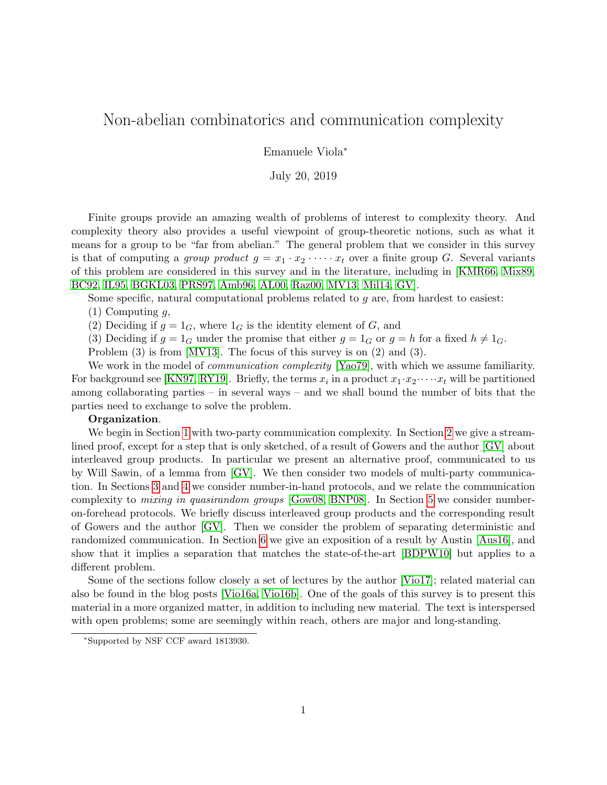# <span id="page-0-0"></span>Non-abelian combinatorics and communication complexity

Emanuele Viola<sup>∗</sup>

July 20, 2019

Finite groups provide an amazing wealth of problems of interest to complexity theory. And complexity theory also provides a useful viewpoint of group-theoretic notions, such as what it means for a group to be "far from abelian." The general problem that we consider in this survey is that of computing a group product  $g = x_1 \cdot x_2 \cdot \cdots \cdot x_t$  over a finite group G. Several variants of this problem are considered in this survey and in the literature, including in [\[KMR66,](#page-22-0) [Mix89,](#page-22-1) [BC92,](#page-21-0) [IL95,](#page-22-2) [BGKL03,](#page-21-1) [PRS97,](#page-22-3) [Amb96,](#page-20-0) [AL00,](#page-20-1) [Raz00,](#page-22-4) [MV13,](#page-22-5) [Mil14,](#page-22-6) [GV\]](#page-22-7).

Some specific, natural computational problems related to  $g$  are, from hardest to easiest:

 $(1)$  Computing q,

(2) Deciding if  $g = 1_G$ , where  $1_G$  is the identity element of G, and

(3) Deciding if  $g = 1_G$  under the promise that either  $g = 1_G$  or  $g = h$  for a fixed  $h \neq 1_G$ .

Problem (3) is from [\[MV13\]](#page-22-5). The focus of this survey is on (2) and (3).

We work in the model of *communication complexity* [\[Yao79\]](#page-23-0), with which we assume familiarity. For background see [\[KN97,](#page-22-8) [RY19\]](#page-22-9). Briefly, the terms  $x_i$  in a product  $x_1 \cdot x_2 \cdot \cdot \cdot \cdot x_t$  will be partitioned among collaborating parties – in several ways – and we shall bound the number of bits that the parties need to exchange to solve the problem.

#### Organization.

We begin in Section [1](#page-1-0) with two-party communication complexity. In Section [2](#page-3-0) we give a streamlined proof, except for a step that is only sketched, of a result of Gowers and the author [\[GV\]](#page-22-7) about interleaved group products. In particular we present an alternative proof, communicated to us by Will Sawin, of a lemma from [\[GV\]](#page-22-7). We then consider two models of multi-party communication. In Sections [3](#page-8-0) and [4](#page-10-0) we consider number-in-hand protocols, and we relate the communication complexity to mixing in quasirandom groups [\[Gow08,](#page-21-2) [BNP08\]](#page-21-3). In Section [5](#page-13-0) we consider numberon-forehead protocols. We briefly discuss interleaved group products and the corresponding result of Gowers and the author [\[GV\]](#page-22-7). Then we consider the problem of separating deterministic and randomized communication. In Section [6](#page-15-0) we give an exposition of a result by Austin [\[Aus16\]](#page-21-4), and show that it implies a separation that matches the state-of-the-art [\[BDPW10\]](#page-21-5) but applies to a different problem.

Some of the sections follow closely a set of lectures by the author [\[Vio17\]](#page-23-1); related material can also be found in the blog posts [\[Vio16a,](#page-23-2) [Vio16b\]](#page-23-3). One of the goals of this survey is to present this material in a more organized matter, in addition to including new material. The text is interspersed with open problems; some are seemingly within reach, others are major and long-standing.

<sup>∗</sup>Supported by NSF CCF award 1813930.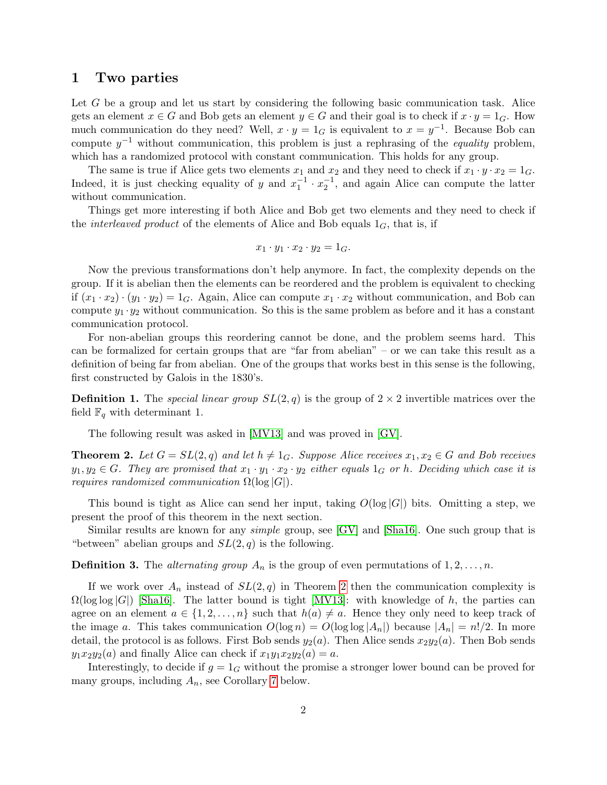### <span id="page-1-0"></span>1 Two parties

Let G be a group and let us start by considering the following basic communication task. Alice gets an element  $x \in G$  and Bob gets an element  $y \in G$  and their goal is to check if  $x \cdot y = 1_G$ . How much communication do they need? Well,  $x \cdot y = 1_G$  is equivalent to  $x = y^{-1}$ . Because Bob can compute  $y^{-1}$  without communication, this problem is just a rephrasing of the *equality* problem, which has a randomized protocol with constant communication. This holds for any group.

The same is true if Alice gets two elements  $x_1$  and  $x_2$  and they need to check if  $x_1 \cdot y \cdot x_2 = 1_G$ . Indeed, it is just checking equality of y and  $x_1^{-1} \cdot x_2^{-1}$ , and again Alice can compute the latter without communication.

Things get more interesting if both Alice and Bob get two elements and they need to check if the *interleaved product* of the elements of Alice and Bob equals  $1_G$ , that is, if

$$
x_1 \cdot y_1 \cdot x_2 \cdot y_2 = 1_G.
$$

Now the previous transformations don't help anymore. In fact, the complexity depends on the group. If it is abelian then the elements can be reordered and the problem is equivalent to checking if  $(x_1 \cdot x_2) \cdot (y_1 \cdot y_2) = 1_G$ . Again, Alice can compute  $x_1 \cdot x_2$  without communication, and Bob can compute  $y_1 \cdot y_2$  without communication. So this is the same problem as before and it has a constant communication protocol.

For non-abelian groups this reordering cannot be done, and the problem seems hard. This can be formalized for certain groups that are "far from abelian" – or we can take this result as a definition of being far from abelian. One of the groups that works best in this sense is the following, first constructed by Galois in the 1830's.

<span id="page-1-2"></span>**Definition 1.** The special linear group  $SL(2, q)$  is the group of  $2 \times 2$  invertible matrices over the field  $\mathbb{F}_q$  with determinant 1.

The following result was asked in [\[MV13\]](#page-22-5) and was proved in [\[GV\]](#page-22-7).

<span id="page-1-1"></span>**Theorem 2.** Let  $G = SL(2,q)$  and let  $h \neq 1_G$ . Suppose Alice receives  $x_1, x_2 \in G$  and Bob receives  $y_1, y_2 \in G$ . They are promised that  $x_1 \cdot y_1 \cdot x_2 \cdot y_2$  either equals  $1_G$  or h. Deciding which case it is *requires randomized communication*  $\Omega(\log |G|)$ .

This bound is tight as Alice can send her input, taking  $O(\log |G|)$  bits. Omitting a step, we present the proof of this theorem in the next section.

Similar results are known for any simple group, see [\[GV\]](#page-22-7) and [\[Sha16\]](#page-23-4). One such group that is "between" abelian groups and  $SL(2, q)$  is the following.

<span id="page-1-3"></span>**Definition 3.** The *alternating group*  $A_n$  is the group of even permutations of  $1, 2, \ldots, n$ .

If we work over  $A_n$  instead of  $SL(2,q)$  in Theorem [2](#page-1-1) then the communication complexity is  $\Omega(\log \log |G|)$  [\[Sha16\]](#page-23-4). The latter bound is tight [\[MV13\]](#page-22-5): with knowledge of h, the parties can agree on an element  $a \in \{1, 2, ..., n\}$  such that  $h(a) \neq a$ . Hence they only need to keep track of the image a. This takes communication  $O(\log n) = O(\log \log |A_n|)$  because  $|A_n| = n!/2$ . In more detail, the protocol is as follows. First Bob sends  $y_2(a)$ . Then Alice sends  $x_2y_2(a)$ . Then Bob sends  $y_1x_2y_2(a)$  and finally Alice can check if  $x_1y_1x_2y_2(a) = a$ .

Interestingly, to decide if  $g = 1_G$  without the promise a stronger lower bound can be proved for many groups, including  $A_n$ , see Corollary [7](#page-3-1) below.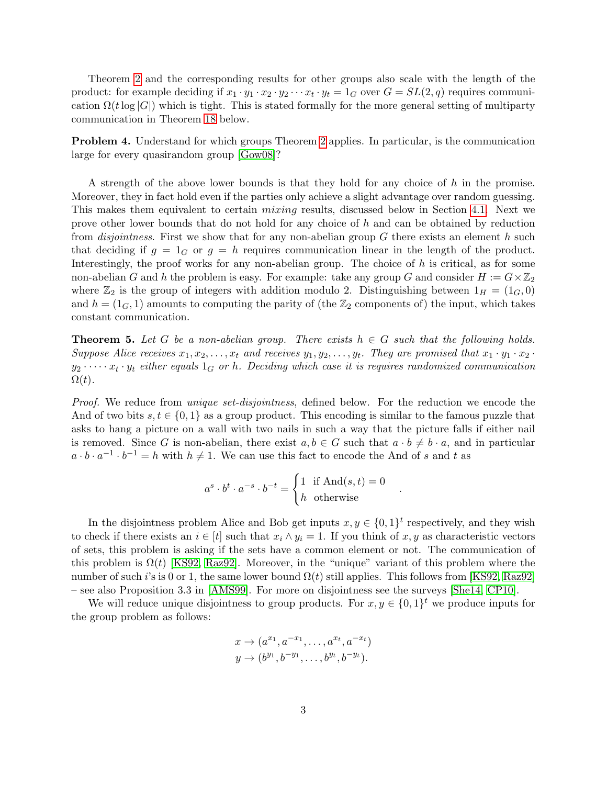Theorem [2](#page-1-1) and the corresponding results for other groups also scale with the length of the product: for example deciding if  $x_1 \cdot y_1 \cdot x_2 \cdot y_2 \cdots x_t \cdot y_t = 1_G$  over  $G = SL(2, q)$  requires communication  $\Omega(t \log |G|)$  which is tight. This is stated formally for the more general setting of multiparty communication in Theorem [18](#page-13-1) below.

<span id="page-2-1"></span>Problem 4. Understand for which groups Theorem [2](#page-1-1) applies. In particular, is the communication large for every quasirandom group [\[Gow08\]](#page-21-2)?

A strength of the above lower bounds is that they hold for any choice of  $h$  in the promise. Moreover, they in fact hold even if the parties only achieve a slight advantage over random guessing. This makes them equivalent to certain *mixing* results, discussed below in Section [4.1.](#page-10-1) Next we prove other lower bounds that do not hold for any choice of h and can be obtained by reduction from *disjointness*. First we show that for any non-abelian group G there exists an element h such that deciding if  $g = 1_G$  or  $g = h$  requires communication linear in the length of the product. Interestingly, the proof works for any non-abelian group. The choice of  $h$  is critical, as for some non-abelian G and h the problem is easy. For example: take any group G and consider  $H := G \times \mathbb{Z}_2$ where  $\mathbb{Z}_2$  is the group of integers with addition modulo 2. Distinguishing between  $1_H = (1_G, 0)$ and  $h = (1_G, 1)$  amounts to computing the parity of (the  $\mathbb{Z}_2$  components of) the input, which takes constant communication.

<span id="page-2-0"></span>**Theorem 5.** Let G be a non-abelian group. There exists  $h \in G$  such that the following holds. Suppose Alice receives  $x_1, x_2, \ldots, x_t$  and receives  $y_1, y_2, \ldots, y_t$ . They are promised that  $x_1 \cdot y_1 \cdot x_2 \cdot$  $y_2 \cdot \dots \cdot x_t \cdot y_t$  either equals  $1_G$  or h. Deciding which case it is requires randomized communication  $\Omega(t)$ .

Proof. We reduce from *unique set-disjointness*, defined below. For the reduction we encode the And of two bits  $s, t \in \{0, 1\}$  as a group product. This encoding is similar to the famous puzzle that asks to hang a picture on a wall with two nails in such a way that the picture falls if either nail is removed. Since G is non-abelian, there exist  $a, b \in G$  such that  $a \cdot b \neq b \cdot a$ , and in particular  $a \cdot b \cdot a^{-1} \cdot b^{-1} = h$  with  $h \neq 1$ . We can use this fact to encode the And of s and t as

$$
a^s \cdot b^t \cdot a^{-s} \cdot b^{-t} = \begin{cases} 1 & \text{if } \text{And}(s, t) = 0 \\ h & \text{otherwise} \end{cases}
$$

.

In the disjointness problem Alice and Bob get inputs  $x, y \in \{0, 1\}^t$  respectively, and they wish to check if there exists an  $i \in [t]$  such that  $x_i \wedge y_i = 1$ . If you think of x, y as characteristic vectors of sets, this problem is asking if the sets have a common element or not. The communication of this problem is  $\Omega(t)$  [\[KS92,](#page-22-10) [Raz92\]](#page-22-11). Moreover, in the "unique" variant of this problem where the number of such i's is 0 or 1, the same lower bound  $\Omega(t)$  still applies. This follows from [\[KS92,](#page-22-10) [Raz92\]](#page-22-11) – see also Proposition 3.3 in [\[AMS99\]](#page-20-2). For more on disjointness see the surveys [\[She14,](#page-23-5) [CP10\]](#page-21-6).

We will reduce unique disjointness to group products. For  $x, y \in \{0, 1\}^t$  we produce inputs for the group problem as follows:

$$
x \to (a^{x_1}, a^{-x_1}, \dots, a^{x_t}, a^{-x_t})
$$
  

$$
y \to (b^{y_1}, b^{-y_1}, \dots, b^{y_t}, b^{-y_t}).
$$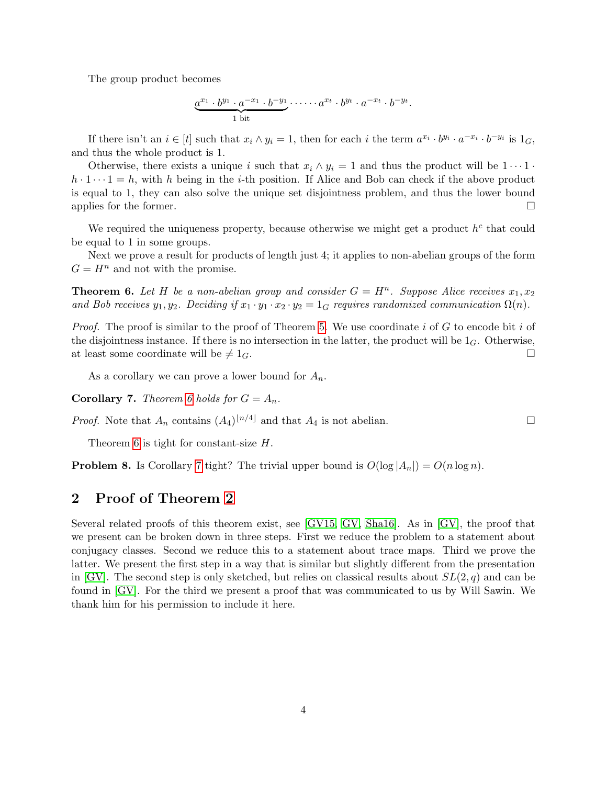The group product becomes

$$
\underbrace{a^{x_1}\cdot b^{y_1}\cdot a^{-x_1}\cdot b^{-y_1}}_{1 \text{ bit}}\cdot \cdots \cdot a^{x_t}\cdot b^{y_t}\cdot a^{-x_t}\cdot b^{-y_t}.
$$

If there isn't an  $i \in [t]$  such that  $x_i \wedge y_i = 1$ , then for each i the term  $a^{x_i} \cdot b^{y_i} \cdot a^{-x_i} \cdot b^{-y_i}$  is  $1_G$ , and thus the whole product is 1.

Otherwise, there exists a unique i such that  $x_i \wedge y_i = 1$  and thus the product will be  $1 \cdots 1$ .  $h \cdot 1 \cdots 1 = h$ , with h being in the i-th position. If Alice and Bob can check if the above product is equal to 1, they can also solve the unique set disjointness problem, and thus the lower bound applies for the former.  $\Box$ 

We required the uniqueness property, because otherwise we might get a product  $h^c$  that could be equal to 1 in some groups.

Next we prove a result for products of length just 4; it applies to non-abelian groups of the form  $G = H<sup>n</sup>$  and not with the promise.

<span id="page-3-2"></span>**Theorem 6.** Let H be a non-abelian group and consider  $G = H<sup>n</sup>$ . Suppose Alice receives  $x_1, x_2$ and Bob receives  $y_1, y_2$ . Deciding if  $x_1 \cdot y_1 \cdot x_2 \cdot y_2 = 1_G$  requires randomized communication  $\Omega(n)$ .

*Proof.* The proof is similar to the proof of Theorem [5.](#page-2-0) We use coordinate i of G to encode bit i of the disjointness instance. If there is no intersection in the latter, the product will be  $1_G$ . Otherwise, at least some coordinate will be  $\neq 1_G$ .

As a corollary we can prove a lower bound for  $A_n$ .

<span id="page-3-1"></span>**Corollary 7.** Theorem [6](#page-3-2) holds for  $G = A_n$ .

*Proof.* Note that  $A_n$  contains  $(A_4)^{\lfloor n/4 \rfloor}$  and that  $A_4$  is not abelian.

Theorem [6](#page-3-2) is tight for constant-size H.

**Problem 8.** Is Corollary [7](#page-3-1) tight? The trivial upper bound is  $O(\log |A_n|) = O(n \log n)$ .

# <span id="page-3-0"></span>2 Proof of Theorem [2](#page-1-1)

Several related proofs of this theorem exist, see [\[GV15,](#page-22-12) [GV,](#page-22-7) [Sha16\]](#page-23-4). As in [\[GV\]](#page-22-7), the proof that we present can be broken down in three steps. First we reduce the problem to a statement about conjugacy classes. Second we reduce this to a statement about trace maps. Third we prove the latter. We present the first step in a way that is similar but slightly different from the presentation in [\[GV\]](#page-22-7). The second step is only sketched, but relies on classical results about  $SL(2, q)$  and can be found in [\[GV\]](#page-22-7). For the third we present a proof that was communicated to us by Will Sawin. We thank him for his permission to include it here.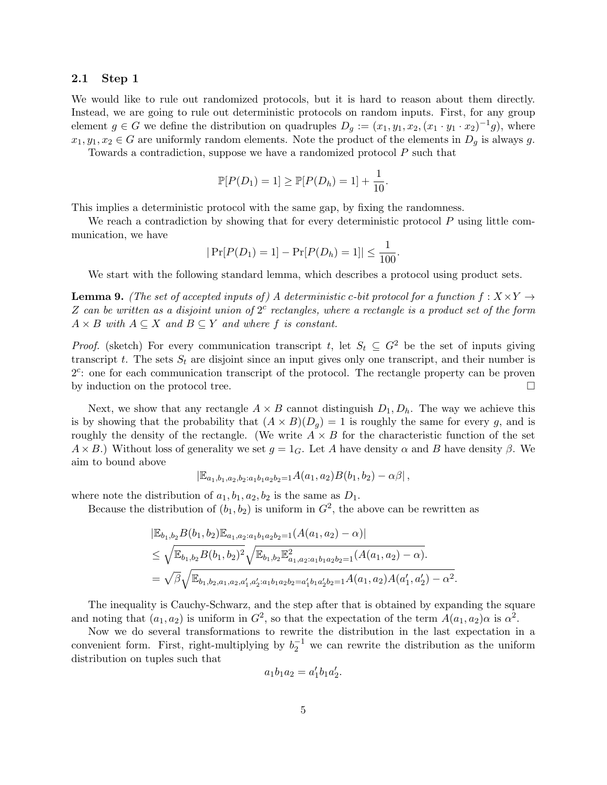### 2.1 Step 1

We would like to rule out randomized protocols, but it is hard to reason about them directly. Instead, we are going to rule out deterministic protocols on random inputs. First, for any group element  $g \in G$  we define the distribution on quadruples  $D_g := (x_1, y_1, x_2, (x_1 \cdot y_1 \cdot x_2)^{-1} g)$ , where  $x_1, y_1, x_2 \in G$  are uniformly random elements. Note the product of the elements in  $D_q$  is always g.

Towards a contradiction, suppose we have a randomized protocol P such that

$$
\mathbb{P}[P(D_1) = 1] \ge \mathbb{P}[P(D_h) = 1] + \frac{1}{10}.
$$

This implies a deterministic protocol with the same gap, by fixing the randomness.

We reach a contradiction by showing that for every deterministic protocol  $P$  using little communication, we have

$$
|\Pr[P(D_1) = 1] - \Pr[P(D_h) = 1]| \le \frac{1}{100}.
$$

We start with the following standard lemma, which describes a protocol using product sets.

<span id="page-4-0"></span>**Lemma 9.** (The set of accepted inputs of) A deterministic c-bit protocol for a function  $f: X \times Y \rightarrow$ Z can be written as a disjoint union of  $2<sup>c</sup>$  rectangles, where a rectangle is a product set of the form  $A \times B$  with  $A \subseteq X$  and  $B \subseteq Y$  and where f is constant.

*Proof.* (sketch) For every communication transcript t, let  $S_t \subseteq G^2$  be the set of inputs giving transcript t. The sets  $S_t$  are disjoint since an input gives only one transcript, and their number is 2<sup>c</sup>: one for each communication transcript of the protocol. The rectangle property can be proven by induction on the protocol tree.

Next, we show that any rectangle  $A \times B$  cannot distinguish  $D_1, D_h$ . The way we achieve this is by showing that the probability that  $(A \times B)(D_g) = 1$  is roughly the same for every g, and is roughly the density of the rectangle. (We write  $A \times B$  for the characteristic function of the set  $A \times B$ .) Without loss of generality we set  $g = 1_G$ . Let A have density  $\alpha$  and B have density  $\beta$ . We aim to bound above

$$
|\mathbb{E}_{a_1,b_1,a_2,b_2:a_1b_1a_2b_2=1}A(a_1,a_2)B(b_1,b_2)-\alpha\beta|,
$$

where note the distribution of  $a_1, b_1, a_2, b_2$  is the same as  $D_1$ .

Because the distribution of  $(b_1, b_2)$  is uniform in  $G^2$ , the above can be rewritten as

$$
|\mathbb{E}_{b_1,b_2} B(b_1, b_2) \mathbb{E}_{a_1,a_2:a_1b_1a_2b_2=1}(A(a_1, a_2) - \alpha)|
$$
  
\n
$$
\leq \sqrt{\mathbb{E}_{b_1,b_2} B(b_1, b_2)^2} \sqrt{\mathbb{E}_{b_1,b_2} \mathbb{E}_{a_1,a_2:a_1b_1a_2b_2=1}^2 (A(a_1, a_2) - \alpha)}.
$$
  
\n
$$
= \sqrt{\beta} \sqrt{\mathbb{E}_{b_1,b_2,a_1,a_2,a'_1,a'_2:a_1b_1a_2b_2=a'_1b_1a'_2b_2=1} A(a_1, a_2) A(a'_1, a'_2) - \alpha^2}.
$$

The inequality is Cauchy-Schwarz, and the step after that is obtained by expanding the square and noting that  $(a_1, a_2)$  is uniform in  $G^2$ , so that the expectation of the term  $A(a_1, a_2) \alpha$  is  $\alpha^2$ .

Now we do several transformations to rewrite the distribution in the last expectation in a convenient form. First, right-multiplying by  $b_2^{-1}$  we can rewrite the distribution as the uniform distribution on tuples such that

$$
a_1b_1a_2 = a'_1b_1a'_2.
$$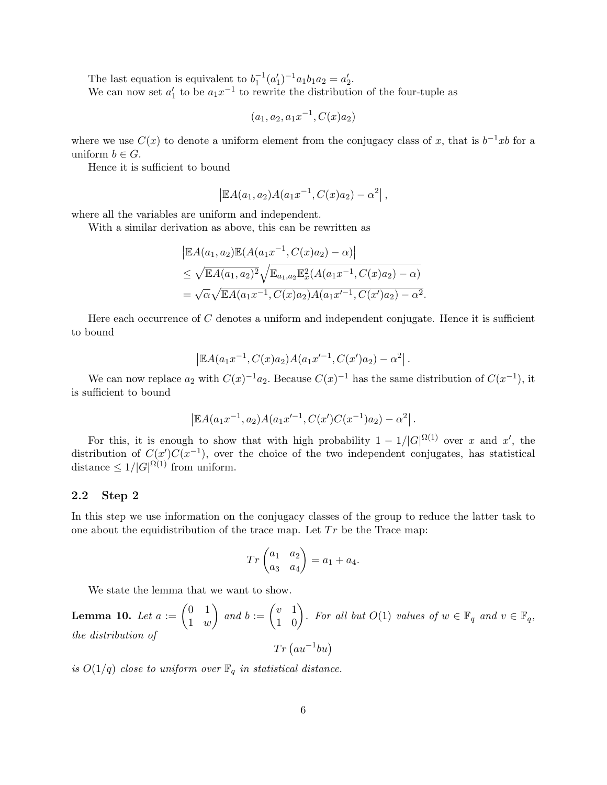The last equation is equivalent to  $b_1^{-1}(a'_1)^{-1}a_1b_1a_2 = a'_2$ . We can now set  $a'_1$  to be  $a_1x^{-1}$  to rewrite the distribution of the four-tuple as

$$
(a_1, a_2, a_1x^{-1}, C(x)a_2)
$$

where we use  $C(x)$  to denote a uniform element from the conjugacy class of x, that is  $b^{-1}xb$  for a uniform  $b \in G$ .

Hence it is sufficient to bound

$$
|\mathbb{E}A(a_1,a_2)A(a_1x^{-1},C(x)a_2)-\alpha^2|,
$$

where all the variables are uniform and independent.

With a similar derivation as above, this can be rewritten as

$$
|\mathbb{E}A(a_1, a_2)\mathbb{E}(A(a_1x^{-1}, C(x)a_2) - \alpha)|
$$
  
\n
$$
\leq \sqrt{\mathbb{E}A(a_1, a_2)^2} \sqrt{\mathbb{E}_{a_1, a_2} \mathbb{E}_x^2(A(a_1x^{-1}, C(x)a_2) - \alpha)}
$$
  
\n
$$
= \sqrt{\alpha} \sqrt{\mathbb{E}A(a_1x^{-1}, C(x)a_2)A(a_1x'^{-1}, C(x')a_2) - \alpha^2}.
$$

Here each occurrence of  $C$  denotes a uniform and independent conjugate. Hence it is sufficient to bound

$$
\left| \mathbb{E} A(a_1x^{-1}, C(x)a_2)A(a_1x'^{-1}, C(x')a_2) - \alpha^2 \right|.
$$

We can now replace  $a_2$  with  $C(x)^{-1}a_2$ . Because  $C(x)^{-1}$  has the same distribution of  $C(x^{-1})$ , it is sufficient to bound

$$
\left| \mathbb{E} A(a_1x^{-1}, a_2) A(a_1x'^{-1}, C(x')C(x^{-1})a_2) - \alpha^2 \right|.
$$

For this, it is enough to show that with high probability  $1 - 1/|G|^{\Omega(1)}$  over x and x', the distribution of  $C(x')C(x^{-1})$ , over the choice of the two independent conjugates, has statistical distance  $\leq 1/|G|^{\Omega(1)}$  from uniform.

### 2.2 Step 2

In this step we use information on the conjugacy classes of the group to reduce the latter task to one about the equidistribution of the trace map. Let  $Tr$  be the Trace map:

$$
Tr\begin{pmatrix} a_1 & a_2 \ a_3 & a_4 \end{pmatrix} = a_1 + a_4.
$$

We state the lemma that we want to show.

<span id="page-5-0"></span>**Lemma 10.** Let  $a := \begin{pmatrix} 0 & 1 \\ 1 & 0 \end{pmatrix}$ 1 w  $\Big)$  and  $b := \begin{pmatrix} v & 1 \\ 1 & 0 \end{pmatrix}$ . For all but  $O(1)$  values of  $w \in \mathbb{F}_q$  and  $v \in \mathbb{F}_q$ , the distribution of  $Tr (au^{-1}bu)$ 

is  $O(1/q)$  close to uniform over  $\mathbb{F}_q$  in statistical distance.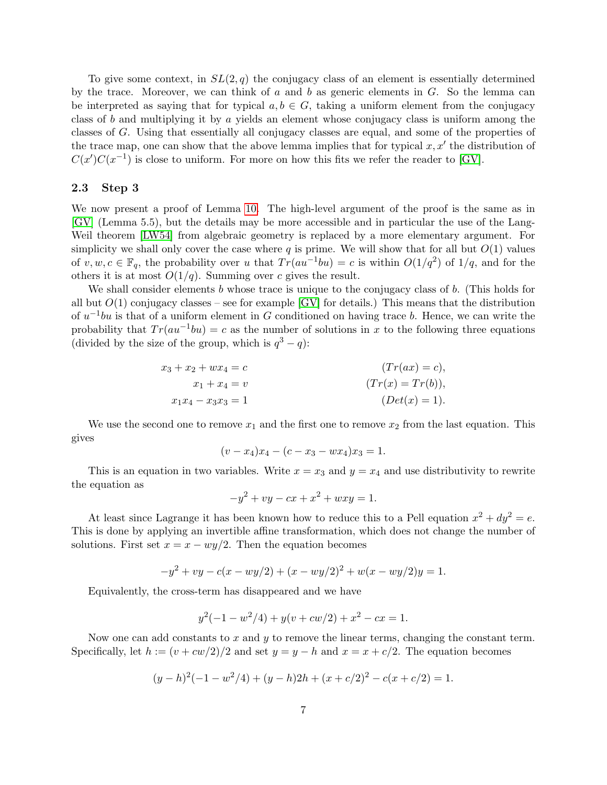To give some context, in  $SL(2, q)$  the conjugacy class of an element is essentially determined by the trace. Moreover, we can think of  $a$  and  $b$  as generic elements in  $G$ . So the lemma can be interpreted as saying that for typical  $a, b \in G$ , taking a uniform element from the conjugacy class of b and multiplying it by a yields an element whose conjugacy class is uniform among the classes of G. Using that essentially all conjugacy classes are equal, and some of the properties of the trace map, one can show that the above lemma implies that for typical  $x, x'$  the distribution of  $C(x')C(x^{-1})$  is close to uniform. For more on how this fits we refer the reader to [\[GV\]](#page-22-7).

#### <span id="page-6-0"></span>2.3 Step 3

We now present a proof of Lemma [10.](#page-5-0) The high-level argument of the proof is the same as in [\[GV\]](#page-22-7) (Lemma 5.5), but the details may be more accessible and in particular the use of the Lang-Weil theorem [\[LW54\]](#page-22-13) from algebraic geometry is replaced by a more elementary argument. For simplicity we shall only cover the case where q is prime. We will show that for all but  $O(1)$  values of  $v, w, c \in \mathbb{F}_q$ , the probability over u that  $Tr(au^{-1}bu) = c$  is within  $O(1/q^2)$  of  $1/q$ , and for the others it is at most  $O(1/q)$ . Summing over c gives the result.

We shall consider elements  $b$  whose trace is unique to the conjugacy class of  $b$ . (This holds for all but  $O(1)$  conjugacy classes – see for example  $\left[\text{GV}\right]$  for details.) This means that the distribution of  $u^{-1}bu$  is that of a uniform element in G conditioned on having trace b. Hence, we can write the probability that  $Tr(au^{-1}bu) = c$  as the number of solutions in x to the following three equations (divided by the size of the group, which is  $q^3 - q$ ):

$$
x_3 + x_2 + wx_4 = c
$$
  
\n
$$
x_1 + x_4 = v
$$
  
\n
$$
x_1x_4 - x_3x_3 = 1
$$
  
\n
$$
(Tr(ax) = c),
$$
  
\n
$$
(Tr(ax) = c),
$$
  
\n
$$
(Tr(ax) = c),
$$
  
\n
$$
(Tr(ax) = c),
$$
  
\n
$$
(Tr(ax) = c),
$$
  
\n
$$
(Tr(ax) = c),
$$
  
\n
$$
(Tr(ax) = c),
$$
  
\n
$$
(Tr(ax) = c),
$$
  
\n
$$
(Tr(ax) = c),
$$
  
\n
$$
(Tr(ax) = c),
$$
  
\n
$$
(Tr(ax) = c),
$$

We use the second one to remove  $x_1$  and the first one to remove  $x_2$  from the last equation. This gives

$$
(v - x_4)x_4 - (c - x_3 - wx_4)x_3 = 1.
$$

This is an equation in two variables. Write  $x = x_3$  and  $y = x_4$  and use distributivity to rewrite the equation as

$$
-y^2 + vy - cx + x^2 + wxy = 1.
$$

At least since Lagrange it has been known how to reduce this to a Pell equation  $x^2 + dy^2 = e$ . This is done by applying an invertible affine transformation, which does not change the number of solutions. First set  $x = x - wy/2$ . Then the equation becomes

$$
-y^2 + vy - c(x - wy/2) + (x - wy/2)^2 + w(x - wy/2)y = 1.
$$

Equivalently, the cross-term has disappeared and we have

$$
y^2(-1 - w^2/4) + y(v + cw/2) + x^2 - cx = 1.
$$

Now one can add constants to  $x$  and  $y$  to remove the linear terms, changing the constant term. Specifically, let  $h := (v + cw/2)/2$  and set  $y = y - h$  and  $x = x + c/2$ . The equation becomes

$$
(y-h)^{2}(-1-w^{2}/4) + (y-h)2h + (x+c/2)^{2} - c(x+c/2) = 1.
$$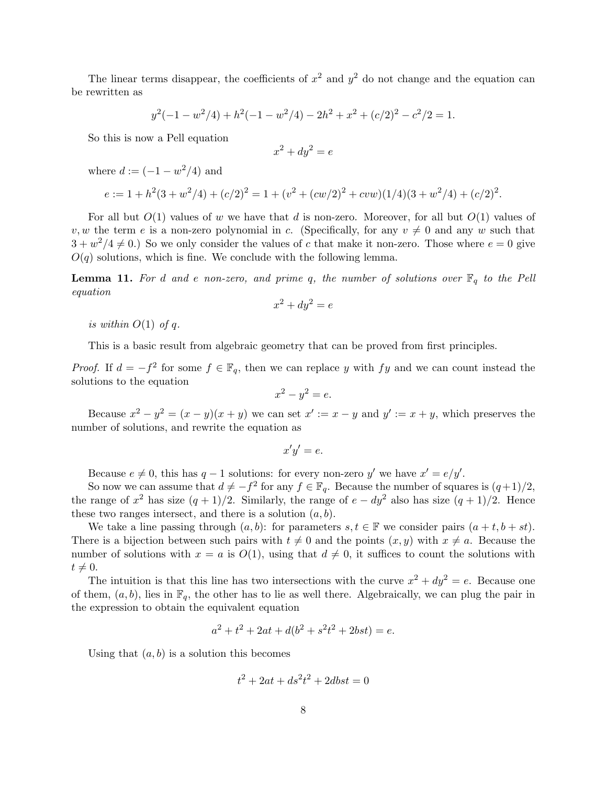The linear terms disappear, the coefficients of  $x^2$  and  $y^2$  do not change and the equation can be rewritten as

$$
y^{2}(-1-w^{2}/4) + h^{2}(-1-w^{2}/4) - 2h^{2} + x^{2} + (c/2)^{2} - c^{2}/2 = 1.
$$

So this is now a Pell equation

$$
x^2 + dy^2 = e
$$

where  $d := (-1 - w^2/4)$  and

$$
e := 1 + h2(3 + w2/4) + (c/2)2 = 1 + (v2 + (cw/2)2 + cww)(1/4)(3 + w2/4) + (c/2)2.
$$

For all but  $O(1)$  values of w we have that d is non-zero. Moreover, for all but  $O(1)$  values of v, w the term e is a non-zero polynomial in c. (Specifically, for any  $v \neq 0$  and any w such that  $3 + w^2/4 \neq 0$ .) So we only consider the values of c that make it non-zero. Those where  $e = 0$  give  $O(q)$  solutions, which is fine. We conclude with the following lemma.

**Lemma 11.** For d and e non-zero, and prime q, the number of solutions over  $\mathbb{F}_q$  to the Pell equation

$$
x^2 + dy^2 = e
$$

is within  $O(1)$  of q.

This is a basic result from algebraic geometry that can be proved from first principles.

*Proof.* If  $d = -f^2$  for some  $f \in \mathbb{F}_q$ , then we can replace y with fy and we can count instead the solutions to the equation

$$
x^2 - y^2 = e.
$$

Because  $x^2 - y^2 = (x - y)(x + y)$  we can set  $x' := x - y$  and  $y' := x + y$ , which preserves the number of solutions, and rewrite the equation as

$$
x'y' = e.
$$

Because  $e \neq 0$ , this has  $q-1$  solutions: for every non-zero y' we have  $x' = e/y'$ .

So now we can assume that  $d \neq -f^2$  for any  $f \in \mathbb{F}_q$ . Because the number of squares is  $(q+1)/2$ , the range of  $x^2$  has size  $(q + 1)/2$ . Similarly, the range of  $e - dy^2$  also has size  $(q + 1)/2$ . Hence these two ranges intersect, and there is a solution  $(a, b)$ .

We take a line passing through  $(a, b)$ : for parameters  $s, t \in \mathbb{F}$  we consider pairs  $(a + t, b + st)$ . There is a bijection between such pairs with  $t \neq 0$  and the points  $(x, y)$  with  $x \neq a$ . Because the number of solutions with  $x = a$  is  $O(1)$ , using that  $d \neq 0$ , it suffices to count the solutions with  $t \neq 0.$ 

The intuition is that this line has two intersections with the curve  $x^2 + dy^2 = e$ . Because one of them,  $(a, b)$ , lies in  $\mathbb{F}_q$ , the other has to lie as well there. Algebraically, we can plug the pair in the expression to obtain the equivalent equation

$$
a^2 + t^2 + 2at + d(b^2 + s^2t^2 + 2bst) = e.
$$

Using that  $(a, b)$  is a solution this becomes

$$
t^2 + 2at + ds^2t^2 + 2dbst = 0
$$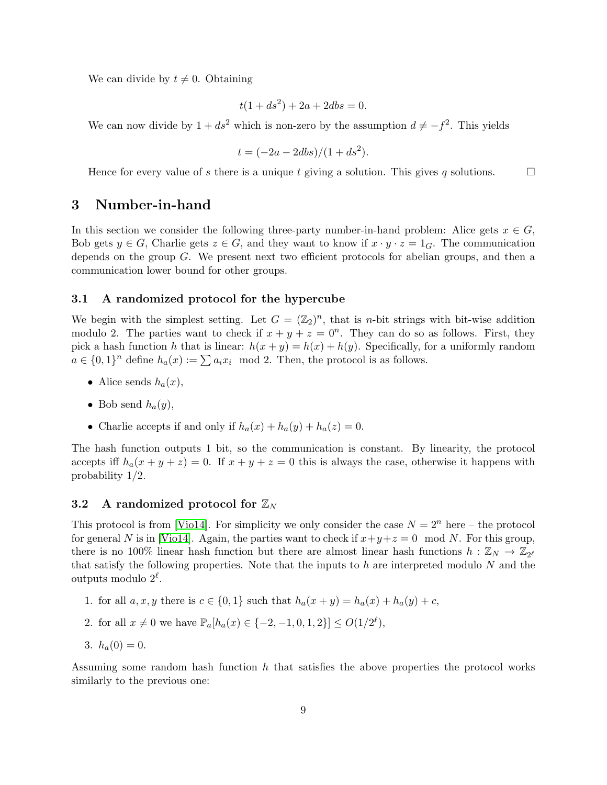We can divide by  $t \neq 0$ . Obtaining

$$
t(1+ds^2) + 2a + 2dbs = 0.
$$

We can now divide by  $1 + ds^2$  which is non-zero by the assumption  $d \neq -f^2$ . This yields

$$
t = (-2a - 2dbs)/(1 + ds^2).
$$

Hence for every value of s there is a unique t giving a solution. This gives q solutions.

## <span id="page-8-0"></span>3 Number-in-hand

In this section we consider the following three-party number-in-hand problem: Alice gets  $x \in G$ , Bob gets  $y \in G$ , Charlie gets  $z \in G$ , and they want to know if  $x \cdot y \cdot z = 1_G$ . The communication depends on the group G. We present next two efficient protocols for abelian groups, and then a communication lower bound for other groups.

### 3.1 A randomized protocol for the hypercube

We begin with the simplest setting. Let  $G = (\mathbb{Z}_2)^n$ , that is *n*-bit strings with bit-wise addition modulo 2. The parties want to check if  $x + y + z = 0^n$ . They can do so as follows. First, they pick a hash function h that is linear:  $h(x + y) = h(x) + h(y)$ . Specifically, for a uniformly random  $a \in \{0,1\}^n$  define  $h_a(x) := \sum a_i x_i \mod 2$ . Then, the protocol is as follows.

- Alice sends  $h_a(x)$ ,
- Bob send  $h_a(y)$ ,
- Charlie accepts if and only if  $h_a(x) + h_a(y) + h_a(z) = 0$ .

The hash function outputs 1 bit, so the communication is constant. By linearity, the protocol accepts iff  $h_a(x + y + z) = 0$ . If  $x + y + z = 0$  this is always the case, otherwise it happens with probability 1/2.

### <span id="page-8-2"></span>3.2 A randomized protocol for  $\mathbb{Z}_N$

This protocol is from [\[Vio14\]](#page-23-6). For simplicity we only consider the case  $N = 2^n$  here – the protocol for general N is in [\[Vio14\]](#page-23-6). Again, the parties want to check if  $x+y+z=0 \mod N$ . For this group, there is no 100% linear hash function but there are almost linear hash functions  $h: \mathbb{Z}_N \to \mathbb{Z}_{2^{\ell}}$ that satisfy the following properties. Note that the inputs to  $h$  are interpreted modulo  $N$  and the outputs modulo  $2^{\ell}$ .

- 1. for all  $a, x, y$  there is  $c \in \{0, 1\}$  such that  $h_a(x + y) = h_a(x) + h_a(y) + c$ ,
- 2. for all  $x \neq 0$  we have  $\mathbb{P}_a[h_a(x) \in \{-2, -1, 0, 1, 2\}] \leq O(1/2^{\ell}),$
- <span id="page-8-1"></span>3.  $h_a(0) = 0$ .

Assuming some random hash function  $h$  that satisfies the above properties the protocol works similarly to the previous one: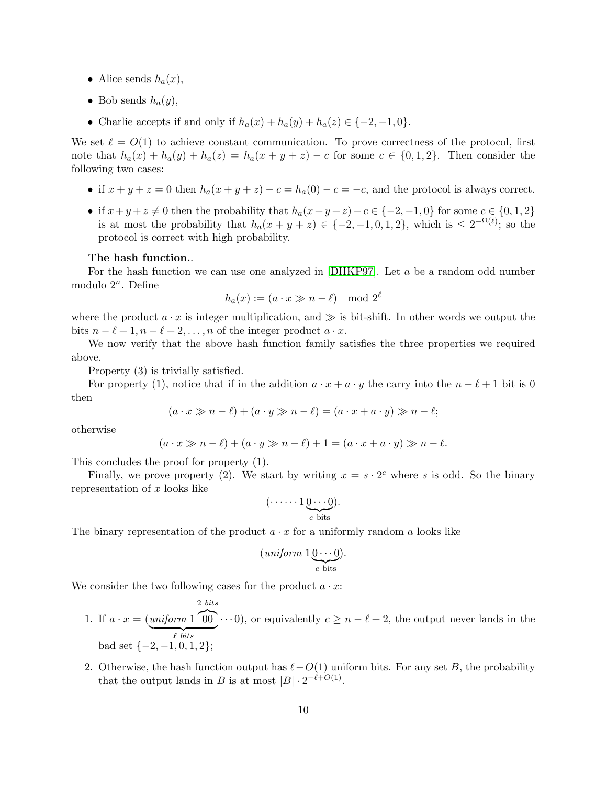- Alice sends  $h_a(x)$ ,
- Bob sends  $h_a(y)$ ,
- Charlie accepts if and only if  $h_a(x) + h_a(y) + h_a(z) \in \{-2, -1, 0\}.$

We set  $\ell = O(1)$  to achieve constant communication. To prove correctness of the protocol, first note that  $h_a(x) + h_a(y) + h_a(z) = h_a(x + y + z) - c$  for some  $c \in \{0, 1, 2\}$ . Then consider the following two cases:

- if  $x + y + z = 0$  then  $h_a(x + y + z) c = h_a(0) c = -c$ , and the protocol is always correct.
- if  $x+y+z\neq 0$  then the probability that  $h_a(x+y+z)-c\in \{-2,-1,0\}$  for some  $c\in \{0,1,2\}$ is at most the probability that  $h_a(x+y+z) \in \{-2,-1,0,1,2\}$ , which is  $\leq 2^{-\Omega(\ell)}$ ; so the protocol is correct with high probability.

#### The hash function..

For the hash function we can use one analyzed in  $[DHKP97]$ . Let a be a random odd number modulo  $2^n$ . Define

$$
h_a(x) := (a \cdot x \gg n - \ell) \mod 2^{\ell}
$$

where the product  $a \cdot x$  is integer multiplication, and  $\gg$  is bit-shift. In other words we output the bits  $n - \ell + 1, n - \ell + 2, \ldots, n$  of the integer product  $a \cdot x$ .

We now verify that the above hash function family satisfies the three properties we required above.

Property (3) is trivially satisfied.

For property (1), notice that if in the addition  $a \cdot x + a \cdot y$  the carry into the  $n - \ell + 1$  bit is 0 then

$$
(a \cdot x \gg n - \ell) + (a \cdot y \gg n - \ell) = (a \cdot x + a \cdot y) \gg n - \ell;
$$

otherwise

$$
(a \cdot x \gg n - \ell) + (a \cdot y \gg n - \ell) + 1 = (a \cdot x + a \cdot y) \gg n - \ell.
$$

This concludes the proof for property (1).

Finally, we prove property (2). We start by writing  $x = s \cdot 2^c$  where s is odd. So the binary representation of  $x$  looks like

$$
(\cdots \cdots 1\underbrace{0\cdots 0}_{c \text{ bits}}).
$$

The binary representation of the product  $a \cdot x$  for a uniformly random a looks like

$$
(uniform 1\underbrace{0\cdots 0}_{c \text{ bits}}).
$$

We consider the two following cases for the product  $a \cdot x$ :

- 1. If  $a \cdot x = (uniform 1)$ 2 bits  $\sim$  $\ell$  bits  $\cdots$ 0), or equivalently  $c \geq n - \ell + 2$ , the output never lands in the bad set  $\{-2, -1, 0, 1, 2\};$
- 2. Otherwise, the hash function output has  $\ell-O(1)$  uniform bits. For any set B, the probability that the output lands in B is at most  $|B| \cdot 2^{-\ell+O(1)}$ .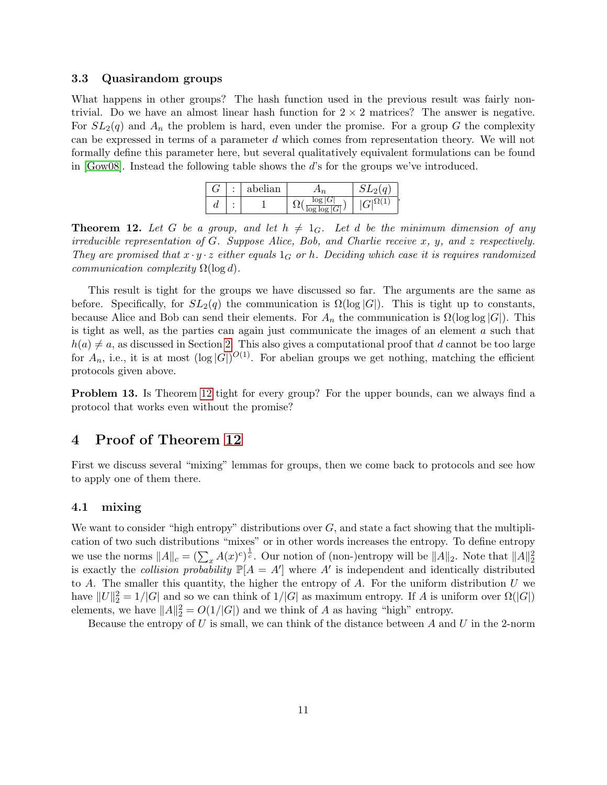### <span id="page-10-3"></span>3.3 Quasirandom groups

What happens in other groups? The hash function used in the previous result was fairly nontrivial. Do we have an almost linear hash function for  $2 \times 2$  matrices? The answer is negative. For  $SL_2(q)$  and  $A_n$  the problem is hard, even under the promise. For a group G the complexity can be expressed in terms of a parameter d which comes from representation theory. We will not formally define this parameter here, but several qualitatively equivalent formulations can be found in [\[Gow08\]](#page-21-2). Instead the following table shows the d's for the groups we've introduced.

|          | ٠ | abelian |                               | $\sim$<br>$\Omega$ |
|----------|---|---------|-------------------------------|--------------------|
| $\bm{u}$ |   |         | 10 <sub>0</sub><br>log log  G | ь                  |

<span id="page-10-2"></span>**Theorem 12.** Let G be a group, and let  $h \neq 1_G$ . Let d be the minimum dimension of any irreducible representation of  $G$ . Suppose Alice, Bob, and Charlie receive x, y, and z respectively. They are promised that  $x \cdot y \cdot z$  either equals  $1_G$  or h. Deciding which case it is requires randomized communication complexity  $\Omega(\log d)$ .

This result is tight for the groups we have discussed so far. The arguments are the same as before. Specifically, for  $SL_2(q)$  the communication is  $\Omega(\log |G|)$ . This is tight up to constants, because Alice and Bob can send their elements. For  $A_n$  the communication is  $\Omega(\log \log |G|)$ . This is tight as well, as the parties can again just communicate the images of an element  $a$  such that  $h(a) \neq a$ , as discussed in Section [2.](#page-1-1) This also gives a computational proof that d cannot be too large for  $A_n$ , i.e., it is at most  $(\log |G|)^{O(1)}$ . For abelian groups we get nothing, matching the efficient protocols given above.

Problem 13. Is Theorem [12](#page-10-2) tight for every group? For the upper bounds, can we always find a protocol that works even without the promise?

# <span id="page-10-0"></span>4 Proof of Theorem [12](#page-10-2)

First we discuss several "mixing" lemmas for groups, then we come back to protocols and see how to apply one of them there.

### <span id="page-10-1"></span>4.1 mixing

We want to consider "high entropy" distributions over  $G$ , and state a fact showing that the multiplication of two such distributions "mixes" or in other words increases the entropy. To define entropy we use the norms  $||A||_c = \left(\sum_x A(x)^c\right)^{\frac{1}{c}}$ . Our notion of (non-)entropy will be  $||A||_2$ . Note that  $||A||_2^2$ is exactly the *collision probability*  $\mathbb{P}[A = A']$  where A' is independent and identically distributed to  $A$ . The smaller this quantity, the higher the entropy of  $A$ . For the uniform distribution  $U$  we have  $||U||_2^2 = 1/|G|$  and so we can think of  $1/|G|$  as maximum entropy. If A is uniform over  $\Omega(|G|)$ elements, we have  $||A||_2^2 = O(1/|G|)$  and we think of A as having "high" entropy.

Because the entropy of U is small, we can think of the distance between  $A$  and U in the 2-norm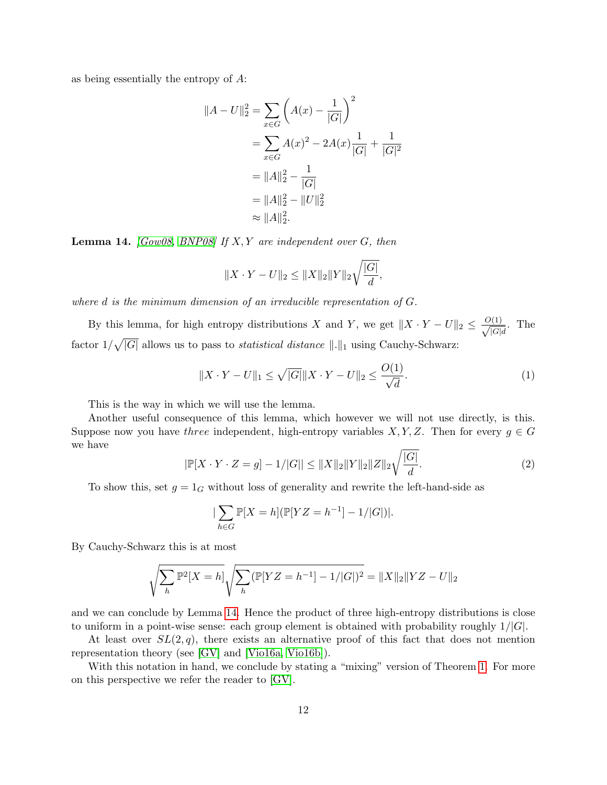as being essentially the entropy of A:

$$
||A - U||_2^2 = \sum_{x \in G} \left( A(x) - \frac{1}{|G|} \right)^2
$$
  
= 
$$
\sum_{x \in G} A(x)^2 - 2A(x) \frac{1}{|G|} + \frac{1}{|G|^2}
$$
  
= 
$$
||A||_2^2 - \frac{1}{|G|}
$$
  
= 
$$
||A||_2^2 - ||U||_2^2
$$
  

$$
\approx ||A||_2^2.
$$

<span id="page-11-0"></span>**Lemma 14.** [\[Gow08,](#page-21-2) [BNP08\]](#page-21-3) If  $X, Y$  are independent over  $G$ , then

$$
||X \cdot Y - U||_2 \le ||X||_2 ||Y||_2 \sqrt{\frac{|G|}{d}},
$$

where d is the minimum dimension of an irreducible representation of G.

By this lemma, for high entropy distributions X and Y, we get  $||X \cdot Y - U||_2 \le \frac{O(1)}{\sqrt{C_1}}$  $\frac{(\perp)}{|G|d}$ . The factor  $1/\sqrt{|G|}$  allows us to pass to *statistical distance*  $\Vert .\Vert_1$  using Cauchy-Schwarz:

$$
||X \cdot Y - U||_1 \le \sqrt{|G|} ||X \cdot Y - U||_2 \le \frac{O(1)}{\sqrt{d}}.
$$
\n(1)

This is the way in which we will use the lemma.

Another useful consequence of this lemma, which however we will not use directly, is this. Suppose now you have three independent, high-entropy variables  $X, Y, Z$ . Then for every  $g \in G$ we have

<span id="page-11-1"></span>
$$
|\mathbb{P}[X \cdot Y \cdot Z = g] - 1/|G|| \le ||X||_2 ||Y||_2 ||Z||_2 \sqrt{\frac{|G|}{d}}.
$$
\n(2)

To show this, set  $g = 1_G$  without loss of generality and rewrite the left-hand-side as

$$
|\sum_{h \in G} \mathbb{P}[X = h] (\mathbb{P}[YZ = h^{-1}] - 1/|G|)|.
$$

By Cauchy-Schwarz this is at most

$$
\sqrt{\sum_{h} \mathbb{P}^2[X=h]} \sqrt{\sum_{h} (\mathbb{P}[YZ=h^{-1}] - 1/|G|)^2} = ||X||_2 ||YZ - U||_2
$$

and we can conclude by Lemma [14.](#page-11-0) Hence the product of three high-entropy distributions is close to uniform in a point-wise sense: each group element is obtained with probability roughly  $1/|G|$ .

At least over  $SL(2,q)$ , there exists an alternative proof of this fact that does not mention representation theory (see [\[GV\]](#page-22-7) and [\[Vio16a,](#page-23-2) [Vio16b\]](#page-23-3)).

With this notation in hand, we conclude by stating a "mixing" version of Theorem [1.](#page-1-0) For more on this perspective we refer the reader to [\[GV\]](#page-22-7).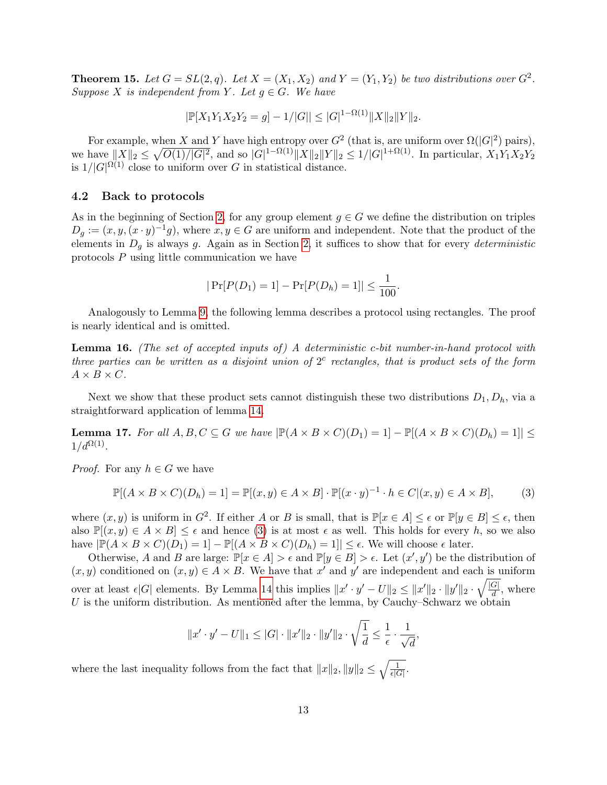**Theorem 15.** Let  $G = SL(2, q)$ . Let  $X = (X_1, X_2)$  and  $Y = (Y_1, Y_2)$  be two distributions over  $G^2$ . Suppose X is independent from Y. Let  $g \in G$ . We have

$$
|\mathbb{P}[X_1Y_1X_2Y_2 = g] - 1/|G|| \leq |G|^{1-\Omega(1)} \|X\|_2 \|Y\|_2.
$$

For example, when X and Y have high entropy over  $G^2$  (that is, are uniform over  $\Omega(|G|^2)$  pairs), we have  $||X||_2 \leq \sqrt{O(1)/|G|^2}$ , and so  $|G|^{1-\Omega(1)}||X||_2||Y||_2 \leq 1/|G|^{1+\Omega(1)}$ . In particular,  $X_1Y_1X_2Y_2$ is  $1/|G|^{\Omega(1)}$  close to uniform over G in statistical distance.

### 4.2 Back to protocols

As in the beginning of Section [2,](#page-3-0) for any group element  $g \in G$  we define the distribution on triples  $D_g := (x, y, (x \cdot y)^{-1}g)$ , where  $x, y \in G$  are uniform and independent. Note that the product of the elements in  $D_q$  is always g. Again as in Section [2,](#page-3-0) it suffices to show that for every deterministic protocols P using little communication we have

$$
|\Pr[P(D_1) = 1] - \Pr[P(D_h) = 1]| \le \frac{1}{100}.
$$

Analogously to Lemma [9,](#page-4-0) the following lemma describes a protocol using rectangles. The proof is nearly identical and is omitted.

<span id="page-12-1"></span>**Lemma 16.** (The set of accepted inputs of) A deterministic c-bit number-in-hand protocol with three parties can be written as a disjoint union of  $2<sup>c</sup>$  rectangles, that is product sets of the form  $A \times B \times C$ .

Next we show that these product sets cannot distinguish these two distributions  $D_1, D_h$ , via a straightforward application of lemma [14.](#page-11-0)

<span id="page-12-2"></span>**Lemma 17.** For all  $A, B, C \subseteq G$  we have  $|\mathbb{P}(A \times B \times C)(D_1) = 1| - |\mathbb{P}[(A \times B \times C)(D_h) = 1]| \le$  $1/d^{\Omega(1)}$ .

*Proof.* For any  $h \in G$  we have

<span id="page-12-0"></span>
$$
\mathbb{P}[(A \times B \times C)(D_h) = 1] = \mathbb{P}[(x, y) \in A \times B] \cdot \mathbb{P}[(x \cdot y)^{-1} \cdot h \in C | (x, y) \in A \times B],
$$
 (3)

where  $(x, y)$  is uniform in  $G^2$ . If either A or B is small, that is  $\mathbb{P}[x \in A] \leq \epsilon$  or  $\mathbb{P}[y \in B] \leq \epsilon$ , then also  $\mathbb{P}[(x,y) \in A \times B] \leq \epsilon$  and hence [\(3\)](#page-12-0) is at most  $\epsilon$  as well. This holds for every h, so we also have  $|\mathbb{P}(A \times B \times C)(D_1) = 1] - \mathbb{P}[(A \times B \times C)(D_h) = 1]| \leq \epsilon$ . We will choose  $\epsilon$  later.

Otherwise, A and B are large:  $\mathbb{P}[x \in A] > \epsilon$  and  $\mathbb{P}[y \in B] > \epsilon$ . Let  $(x', y')$  be the distribution of  $(x, y)$  conditioned on  $(x, y) \in A \times B$ . We have that x' and y' are independent and each is uniform over at least  $\epsilon |G|$  elements. By Lemma [14](#page-11-0) this implies  $||x' \cdot y' - U||_2 \le ||x'||_2 \cdot ||y'||_2 \cdot \sqrt{\frac{|G|}{d}}$  $\frac{d}{d}$ , where U is the uniform distribution. As mentioned after the lemma, by Cauchy–Schwarz we obtain

$$
||x' \cdot y' - U||_1 \leq |G| \cdot ||x'||_2 \cdot ||y'||_2 \cdot \sqrt{\frac{1}{d}} \leq \frac{1}{\epsilon} \cdot \frac{1}{\sqrt{d}},
$$

where the last inequality follows from the fact that  $||x||_2, ||y||_2 \leq \sqrt{\frac{1}{\epsilon|G|}}$ .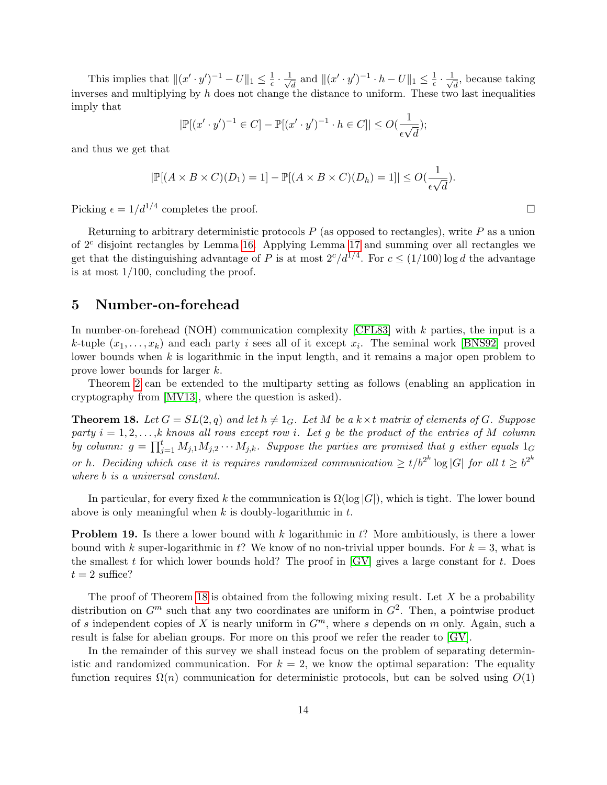This implies that  $\|(x' \cdot y')^{-1} - U\|_1 \leq \frac{1}{\epsilon}$  $\frac{1}{\epsilon} \cdot \frac{1}{\sqrt{2}}$  $\frac{1}{d}$  and  $\|(x' \cdot y')^{-1} \cdot h - U\|_1 \leq \frac{1}{\epsilon}$  $\frac{1}{\epsilon} \cdot \frac{1}{\sqrt{\epsilon}}$  $\frac{1}{d}$ , because taking inverses and multiplying by h does not change the distance to uniform. These two last inequalities imply that

$$
|\mathbb{P}[(x' \cdot y')^{-1} \in C] - \mathbb{P}[(x' \cdot y')^{-1} \cdot h \in C]| \le O(\frac{1}{\epsilon \sqrt{d}});
$$

and thus we get that

$$
|\mathbb{P}[(A \times B \times C)(D_1) = 1] - \mathbb{P}[(A \times B \times C)(D_h) = 1]| \le O(\frac{1}{\epsilon \sqrt{d}}).
$$

Picking  $\epsilon = 1/d^{1/4}$  completes the proof.

Returning to arbitrary deterministic protocols  $P$  (as opposed to rectangles), write  $P$  as a union of  $2<sup>c</sup>$  disjoint rectangles by Lemma [16.](#page-12-1) Applying Lemma [17](#page-12-2) and summing over all rectangles we get that the distinguishing advantage of P is at most  $2^{c}/d^{1/4}$ . For  $c \leq (1/100) \log d$  the advantage is at most  $1/100$ , concluding the proof.

# <span id="page-13-0"></span>5 Number-on-forehead

In number-on-forehead (NOH) communication complexity [\[CFL83\]](#page-21-8) with k parties, the input is a k-tuple  $(x_1, \ldots, x_k)$  and each party i sees all of it except  $x_i$ . The seminal work [\[BNS92\]](#page-21-9) proved lower bounds when  $k$  is logarithmic in the input length, and it remains a major open problem to prove lower bounds for larger k.

Theorem [2](#page-1-1) can be extended to the multiparty setting as follows (enabling an application in cryptography from [\[MV13\]](#page-22-5), where the question is asked).

<span id="page-13-1"></span>**Theorem 18.** Let  $G = SL(2,q)$  and let  $h \neq 1_G$ . Let M be a  $k \times t$  matrix of elements of G. Suppose party  $i = 1, 2, \ldots, k$  knows all rows except row i. Let g be the product of the entries of M column by column:  $g = \prod_{j=1}^t M_{j,1}M_{j,2}\cdots M_{j,k}$ . Suppose the parties are promised that g either equals  $1_G$ or h. Deciding which case it is requires randomized communication  $\geq t/b^{2^k} \log |G|$  for all  $t \geq b^{2^k}$ where b is a universal constant.

In particular, for every fixed k the communication is  $\Omega(\log |G|)$ , which is tight. The lower bound above is only meaningful when  $k$  is doubly-logarithmic in  $t$ .

<span id="page-13-2"></span>**Problem 19.** Is there a lower bound with  $k$  logarithmic in  $t$ ? More ambitiously, is there a lower bound with k super-logarithmic in t? We know of no non-trivial upper bounds. For  $k = 3$ , what is the smallest t for which lower bounds hold? The proof in  $\left[\text{GV}\right]$  gives a large constant for t. Does  $t = 2$  suffice?

The proof of Theorem [18](#page-13-1) is obtained from the following mixing result. Let  $X$  be a probability distribution on  $G^m$  such that any two coordinates are uniform in  $G^2$ . Then, a pointwise product of s independent copies of X is nearly uniform in  $G<sup>m</sup>$ , where s depends on m only. Again, such a result is false for abelian groups. For more on this proof we refer the reader to [\[GV\]](#page-22-7).

In the remainder of this survey we shall instead focus on the problem of separating deterministic and randomized communication. For  $k = 2$ , we know the optimal separation: The equality function requires  $\Omega(n)$  communication for deterministic protocols, but can be solved using  $O(1)$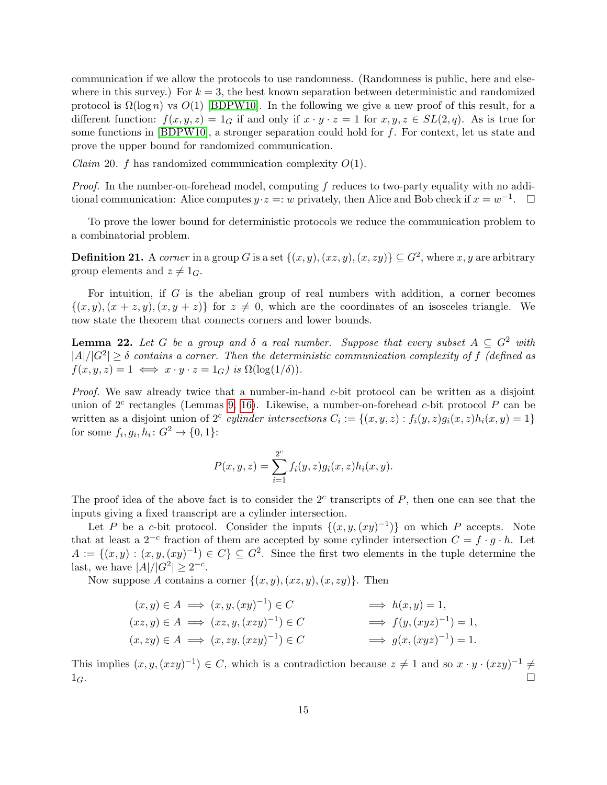communication if we allow the protocols to use randomness. (Randomness is public, here and elsewhere in this survey.) For  $k = 3$ , the best known separation between deterministic and randomized protocol is  $\Omega(\log n)$  vs  $O(1)$  [\[BDPW10\]](#page-21-5). In the following we give a new proof of this result, for a different function:  $f(x, y, z) = 1_G$  if and only if  $x \cdot y \cdot z = 1$  for  $x, y, z \in SL(2, q)$ . As is true for some functions in [\[BDPW10\]](#page-21-5), a stronger separation could hold for f. For context, let us state and prove the upper bound for randomized communication.

*Claim* 20. f has randomized communication complexity  $O(1)$ .

*Proof.* In the number-on-forehead model, computing  $f$  reduces to two-party equality with no additional communication: Alice computes  $y \cdot z =: w$  privately, then Alice and Bob check if  $x = w^{-1}$ .  $\Box$ 

To prove the lower bound for deterministic protocols we reduce the communication problem to a combinatorial problem.

**Definition 21.** A corner in a group G is a set  $\{(x, y), (xz, y), (x, zy)\} \subseteq G^2$ , where x, y are arbitrary group elements and  $z \neq 1_G$ .

For intuition, if  $G$  is the abelian group of real numbers with addition, a corner becomes  $\{(x, y), (x + z, y), (x, y + z)\}\$ for  $z \neq 0$ , which are the coordinates of an isosceles triangle. We now state the theorem that connects corners and lower bounds.

<span id="page-14-0"></span>**Lemma 22.** Let G be a group and  $\delta$  a real number. Suppose that every subset  $A \subseteq G^2$  with  $|A|/|G^2| \geq \delta$  contains a corner. Then the deterministic communication complexity of f (defined as  $f(x, y, z) = 1 \iff x \cdot y \cdot z = 1_G$  is  $\Omega(\log(1/\delta)).$ 

Proof. We saw already twice that a number-in-hand c-bit protocol can be written as a disjoint union of  $2^c$  rectangles (Lemmas [9,](#page-4-0) [16\)](#page-12-1). Likewise, a number-on-forehead c-bit protocol P can be written as a disjoint union of 2<sup>c</sup> cylinder intersections  $C_i := \{(x, y, z) : f_i(y, z)g_i(x, z)h_i(x, y) = 1\}$ for some  $f_i, g_i, h_i: G^2 \to \{0, 1\}$ :

$$
P(x, y, z) = \sum_{i=1}^{2^c} f_i(y, z) g_i(x, z) h_i(x, y).
$$

The proof idea of the above fact is to consider the  $2<sup>c</sup>$  transcripts of  $P$ , then one can see that the inputs giving a fixed transcript are a cylinder intersection.

Let P be a c-bit protocol. Consider the inputs  $\{(x, y, (xy)^{-1})\}$  on which P accepts. Note that at least a 2<sup>-c</sup> fraction of them are accepted by some cylinder intersection  $C = f \cdot g \cdot h$ . Let  $A := \{(x, y) : (x, y, (xy)^{-1}) \in C\} \subseteq G^2$ . Since the first two elements in the tuple determine the last, we have  $|A|/|G^2| \ge 2^{-c}$ .

Now suppose A contains a corner  $\{(x, y), (xz, y), (x, zy)\}.$  Then

$$
(x, y) \in A \implies (x, y, (xy)^{-1}) \in C \implies h(x, y) = 1,
$$
  
\n
$$
(xz, y) \in A \implies (xz, y, (xzy)^{-1}) \in C \implies f(y, (xyz)^{-1}) = 1,
$$
  
\n
$$
(x, zy) \in A \implies (x, zy, (xzy)^{-1}) \in C \implies g(x, (xyz)^{-1}) = 1.
$$

This implies  $(x, y, (xzy)^{-1}) \in C$ , which is a contradiction because  $z \neq 1$  and so  $x \cdot y \cdot (xzy)^{-1} \neq$  $1_G$ .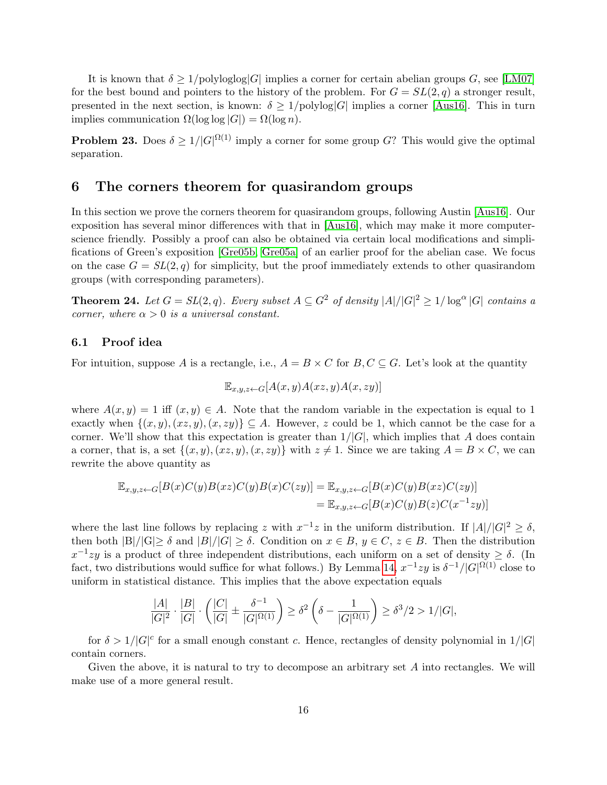It is known that  $\delta \geq 1/\text{polyloglog}|G|$  implies a corner for certain abelian groups G, see [\[LM07\]](#page-22-14) for the best bound and pointers to the history of the problem. For  $G = SL(2,q)$  a stronger result, presented in the next section, is known:  $\delta \geq 1/\text{polylog}|G|$  implies a corner [\[Aus16\]](#page-21-4). This in turn implies communication  $\Omega(\log \log |G|) = \Omega(\log n)$ .

**Problem 23.** Does  $\delta \geq 1/|G|^{\Omega(1)}$  imply a corner for some group G? This would give the optimal separation.

### <span id="page-15-0"></span>6 The corners theorem for quasirandom groups

In this section we prove the corners theorem for quasirandom groups, following Austin [\[Aus16\]](#page-21-4). Our exposition has several minor differences with that in [\[Aus16\]](#page-21-4), which may make it more computerscience friendly. Possibly a proof can also be obtained via certain local modifications and simplifications of Green's exposition [\[Gre05b,](#page-21-10) [Gre05a\]](#page-21-11) of an earlier proof for the abelian case. We focus on the case  $G = SL(2, q)$  for simplicity, but the proof immediately extends to other quasirandom groups (with corresponding parameters).

**Theorem 24.** Let  $G = SL(2, q)$ . Every subset  $A \subseteq G^2$  of density  $|A|/|G|^2 \ge 1/\log^{\alpha} |G|$  contains a corner, where  $\alpha > 0$  is a universal constant.

### 6.1 Proof idea

For intuition, suppose A is a rectangle, i.e.,  $A = B \times C$  for  $B, C \subseteq G$ . Let's look at the quantity

$$
\mathbb{E}_{x,y,z \leftarrow G}[A(x,y)A(xz,y)A(x,zy)]
$$

where  $A(x, y) = 1$  iff  $(x, y) \in A$ . Note that the random variable in the expectation is equal to 1 exactly when  $\{(x, y), (xz, y), (x, zy)\}\subseteq A$ . However, z could be 1, which cannot be the case for a corner. We'll show that this expectation is greater than  $1/|G|$ , which implies that A does contain a corner, that is, a set  $\{(x, y), (x, z, y), (x, zy)\}\$  with  $z \neq 1$ . Since we are taking  $A = B \times C$ , we can rewrite the above quantity as

$$
\mathbb{E}_{x,y,z \leftarrow G}[B(x)C(y)B(xz)C(y)B(x)C(zy)] = \mathbb{E}_{x,y,z \leftarrow G}[B(x)C(y)B(xz)C(zy)]
$$
  

$$
= \mathbb{E}_{x,y,z \leftarrow G}[B(x)C(y)B(z)C(x^{-1}zy)]
$$

where the last line follows by replacing z with  $x^{-1}z$  in the uniform distribution. If  $|A|/|G|^2 \ge \delta$ , then both  $|B|/|G| \geq \delta$  and  $|B|/|G| \geq \delta$ . Condition on  $x \in B$ ,  $y \in C$ ,  $z \in B$ . Then the distribution  $x^{-1}zy$  is a product of three independent distributions, each uniform on a set of density  $\geq \delta$ . (In fact, two distributions would suffice for what follows.) By Lemma [14,](#page-11-0)  $x^{-1}zy$  is  $\delta^{-1}/|G|^{\Omega(1)}$  close to uniform in statistical distance. This implies that the above expectation equals

$$
\frac{|A|}{|G|^2} \cdot \frac{|B|}{|G|} \cdot \left(\frac{|C|}{|G|} \pm \frac{\delta^{-1}}{|G|^{\Omega(1)}}\right) \ge \delta^2 \left(\delta - \frac{1}{|G|^{\Omega(1)}}\right) \ge \delta^3/2 > 1/|G|,
$$

for  $\delta > 1/|G|^c$  for a small enough constant c. Hence, rectangles of density polynomial in  $1/|G|$ contain corners.

Given the above, it is natural to try to decompose an arbitrary set A into rectangles. We will make use of a more general result.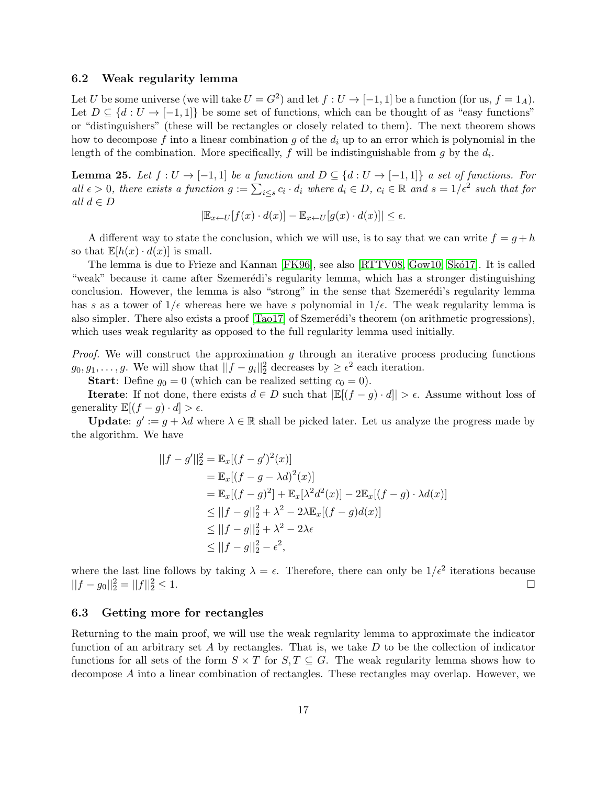### 6.2 Weak regularity lemma

Let U be some universe (we will take  $U = G^2$ ) and let  $f: U \to [-1,1]$  be a function (for us,  $f = 1_A$ ). Let  $D \subseteq \{d : U \to [-1,1]\}$  be some set of functions, which can be thought of as "easy functions" or "distinguishers" (these will be rectangles or closely related to them). The next theorem shows how to decompose f into a linear combination g of the  $d_i$  up to an error which is polynomial in the length of the combination. More specifically,  $f$  will be indistinguishable from  $g$  by the  $d_i$ .

<span id="page-16-0"></span>**Lemma 25.** Let  $f: U \to [-1,1]$  be a function and  $D \subseteq \{d: U \to [-1,1]\}$  a set of functions. For all  $\epsilon > 0$ , there exists a function  $g := \sum_{i \leq s} c_i \cdot d_i$  where  $d_i \in D$ ,  $c_i \in \mathbb{R}$  and  $s = 1/\epsilon^2$  such that for all  $d \in D$ 

$$
|\mathbb{E}_{x \leftarrow U}[f(x) \cdot d(x)] - \mathbb{E}_{x \leftarrow U}[g(x) \cdot d(x)]| \le \epsilon.
$$

A different way to state the conclusion, which we will use, is to say that we can write  $f = g + h$ so that  $\mathbb{E}[h(x) \cdot d(x)]$  is small.

The lemma is due to Frieze and Kannan [\[FK96\]](#page-21-12), see also [\[RTTV08,](#page-22-15) [Gow10,](#page-21-13) Skó17]. It is called "weak" because it came after Szemerédi's regularity lemma, which has a stronger distinguishing conclusion. However, the lemma is also "strong" in the sense that Szemerédi's regularity lemma has s as a tower of  $1/\epsilon$  whereas here we have s polynomial in  $1/\epsilon$ . The weak regularity lemma is also simpler. There also exists a proof [\[Tao17\]](#page-23-8) of Szemerédi's theorem (on arithmetic progressions), which uses weak regularity as opposed to the full regularity lemma used initially.

*Proof.* We will construct the approximation  $g$  through an iterative process producing functions  $g_0, g_1, \ldots, g$ . We will show that  $||f - g_i||_2^2$  decreases by  $\geq \epsilon^2$  each iteration.

**Start:** Define  $g_0 = 0$  (which can be realized setting  $c_0 = 0$ ).

**Iterate:** If not done, there exists  $d \in D$  such that  $\left|\mathbb{E}[(f - g) \cdot d]\right| > \epsilon$ . Assume without loss of generality  $\mathbb{E}[(f-g)\cdot d] > \epsilon$ .

**Update:**  $g' := g + \lambda d$  where  $\lambda \in \mathbb{R}$  shall be picked later. Let us analyze the progress made by the algorithm. We have

$$
||f - g'||_2^2 = \mathbb{E}_x[(f - g')^2(x)]
$$
  
=  $\mathbb{E}_x[(f - g - \lambda d)^2(x)]$   
=  $\mathbb{E}_x[(f - g)^2] + \mathbb{E}_x[\lambda^2 d^2(x)] - 2\mathbb{E}_x[(f - g) \cdot \lambda d(x)]$   
 $\leq ||f - g||_2^2 + \lambda^2 - 2\lambda \mathbb{E}_x[(f - g)d(x)]$   
 $\leq ||f - g||_2^2 + \lambda^2 - 2\lambda \epsilon$   
 $\leq ||f - g||_2^2 - \epsilon^2$ ,

where the last line follows by taking  $\lambda = \epsilon$ . Therefore, there can only be  $1/\epsilon^2$  iterations because  $||f - g_0||_2^2 = ||f||_2^2$  $\frac{2}{2} \leq 1.$ 

### 6.3 Getting more for rectangles

Returning to the main proof, we will use the weak regularity lemma to approximate the indicator function of an arbitrary set A by rectangles. That is, we take  $D$  to be the collection of indicator functions for all sets of the form  $S \times T$  for  $S, T \subseteq G$ . The weak regularity lemma shows how to decompose A into a linear combination of rectangles. These rectangles may overlap. However, we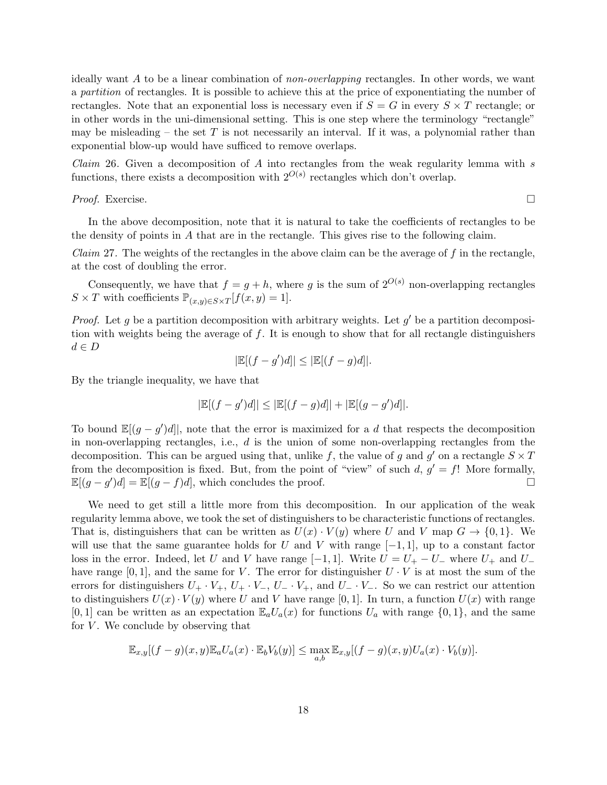ideally want A to be a linear combination of non-overlapping rectangles. In other words, we want a partition of rectangles. It is possible to achieve this at the price of exponentiating the number of rectangles. Note that an exponential loss is necessary even if  $S = G$  in every  $S \times T$  rectangle; or in other words in the uni-dimensional setting. This is one step where the terminology "rectangle" may be misleading – the set T is not necessarily an interval. If it was, a polynomial rather than exponential blow-up would have sufficed to remove overlaps.

*Claim* 26. Given a decomposition of A into rectangles from the weak regularity lemma with  $s$ functions, there exists a decomposition with  $2^{O(s)}$  rectangles which don't overlap.

*Proof.* Exercise.  $\Box$ 

In the above decomposition, note that it is natural to take the coefficients of rectangles to be the density of points in A that are in the rectangle. This gives rise to the following claim.

*Claim* 27. The weights of the rectangles in the above claim can be the average of f in the rectangle, at the cost of doubling the error.

Consequently, we have that  $f = g + h$ , where g is the sum of  $2^{O(s)}$  non-overlapping rectangles  $S \times T$  with coefficients  $\mathbb{P}_{(x,y)\in S\times T}[f(x,y)=1].$ 

*Proof.* Let g be a partition decomposition with arbitrary weights. Let  $g'$  be a partition decomposition with weights being the average of  $f$ . It is enough to show that for all rectangle distinguishers  $d \in D$ 

$$
|\mathbb{E}[(f-g')d]| \leq |\mathbb{E}[(f-g)d]|.
$$

By the triangle inequality, we have that

$$
|\mathbb{E}[(f-g')d]| \leq |\mathbb{E}[(f-g)d]| + |\mathbb{E}[(g-g')d]|.
$$

To bound  $\mathbb{E}[(g-g')d]$ , note that the error is maximized for a d that respects the decomposition in non-overlapping rectangles, i.e.,  $d$  is the union of some non-overlapping rectangles from the decomposition. This can be argued using that, unlike f, the value of g and g' on a rectangle  $S \times T$ from the decomposition is fixed. But, from the point of "view" of such  $d, g' = f!$  More formally,  $\mathbb{E}[(g-g')d] = \mathbb{E}[(g-f)d]$ , which concludes the proof.

We need to get still a little more from this decomposition. In our application of the weak regularity lemma above, we took the set of distinguishers to be characteristic functions of rectangles. That is, distinguishers that can be written as  $U(x) \cdot V(y)$  where U and V map  $G \to \{0,1\}$ . We will use that the same guarantee holds for U and V with range  $[-1, 1]$ , up to a constant factor loss in the error. Indeed, let U and V have range  $[-1, 1]$ . Write  $U = U_{+} - U_{-}$  where  $U_{+}$  and  $U_{-}$ have range [0, 1], and the same for V. The error for distinguisher  $U \cdot V$  is at most the sum of the errors for distinguishers  $U_+ \cdot V_+$ ,  $U_+ \cdot V_-, U_- \cdot V_+$ , and  $U_- \cdot V_-$ . So we can restrict our attention to distinguishers  $U(x) \cdot V(y)$  where U and V have range [0, 1]. In turn, a function  $U(x)$  with range [0, 1] can be written as an expectation  $\mathbb{E}_a U_a(x)$  for functions  $U_a$  with range  $\{0, 1\}$ , and the same for  $V$ . We conclude by observing that

$$
\mathbb{E}_{x,y}[(f-g)(x,y)\mathbb{E}_a U_a(x)\cdot \mathbb{E}_b V_b(y)] \leq \max_{a,b} \mathbb{E}_{x,y}[(f-g)(x,y)U_a(x)\cdot V_b(y)].
$$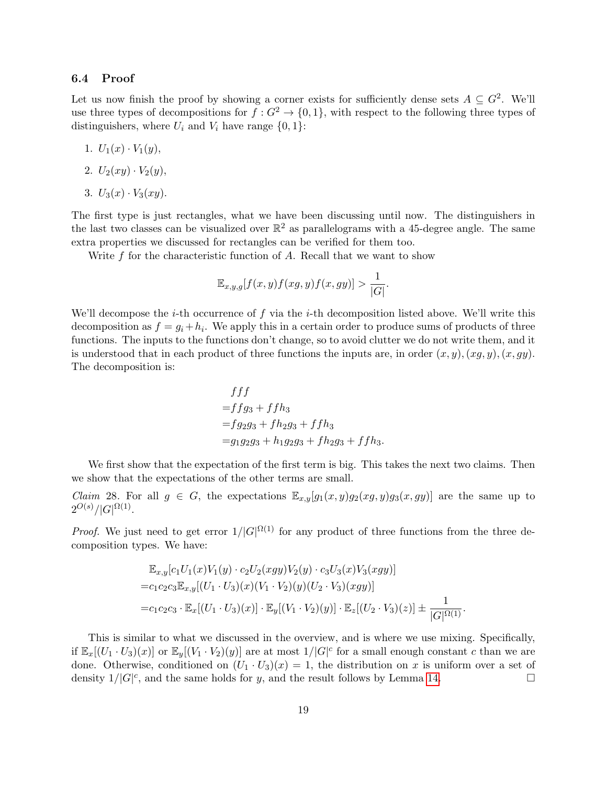#### 6.4 Proof

Let us now finish the proof by showing a corner exists for sufficiently dense sets  $A \subseteq G^2$ . We'll use three types of decompositions for  $f: G^2 \to \{0,1\}$ , with respect to the following three types of distinguishers, where  $U_i$  and  $V_i$  have range  $\{0, 1\}$ :

- 1.  $U_1(x) \cdot V_1(y)$ ,
- 2.  $U_2(xy) \cdot V_2(y)$ ,
- 3.  $U_3(x) \cdot V_3(xy)$ .

The first type is just rectangles, what we have been discussing until now. The distinguishers in the last two classes can be visualized over  $\mathbb{R}^2$  as parallelograms with a 45-degree angle. The same extra properties we discussed for rectangles can be verified for them too.

Write  $f$  for the characteristic function of  $A$ . Recall that we want to show

$$
\mathbb{E}_{x,y,g}[f(x,y)f(xg,y)f(x,gy)] > \frac{1}{|G|}.
$$

We'll decompose the *i*-th occurrence of f via the *i*-th decomposition listed above. We'll write this decomposition as  $f = g_i + h_i$ . We apply this in a certain order to produce sums of products of three functions. The inputs to the functions don't change, so to avoid clutter we do not write them, and it is understood that in each product of three functions the inputs are, in order  $(x, y), (x, q, y), (x, qy)$ . The decomposition is:

$$
f f f
$$
  
=  $f f g_3 + f f h_3$   
=  $f g_2 g_3 + f h_2 g_3 + f f h_3$   
=  $g_1 g_2 g_3 + h_1 g_2 g_3 + f h_2 g_3 + f f h_3$ .

We first show that the expectation of the first term is big. This takes the next two claims. Then we show that the expectations of the other terms are small.

<span id="page-18-0"></span>*Claim* 28. For all  $g \in G$ , the expectations  $\mathbb{E}_{x,y}[g_1(x,y)g_2(xg,y)g_3(x,gy)]$  are the same up to  $2^{O(s)}/|G|^{\Omega(1)}.$ 

*Proof.* We just need to get error  $1/|G|^{\Omega(1)}$  for any product of three functions from the three decomposition types. We have:

$$
\mathbb{E}_{x,y}[c_1U_1(x)V_1(y) \cdot c_2U_2(xgy)V_2(y) \cdot c_3U_3(x)V_3(xgy)]
$$
  
= $c_1c_2c_3\mathbb{E}_{x,y}[(U_1 \cdot U_3)(x)(V_1 \cdot V_2)(y)(U_2 \cdot V_3)(xgy)]$   
= $c_1c_2c_3 \cdot \mathbb{E}_x[(U_1 \cdot U_3)(x)] \cdot \mathbb{E}_y[(V_1 \cdot V_2)(y)] \cdot \mathbb{E}_z[(U_2 \cdot V_3)(z)] \pm \frac{1}{|G|^{\Omega(1)}}.$ 

This is similar to what we discussed in the overview, and is where we use mixing. Specifically, if  $\mathbb{E}_x[(U_1\cdot U_3)(x)]$  or  $\mathbb{E}_y[(V_1\cdot V_2)(y)]$  are at most  $1/|G|^c$  for a small enough constant c than we are done. Otherwise, conditioned on  $(U_1 \cdot U_3)(x) = 1$ , the distribution on x is uniform over a set of density  $1/|G|^c$ , and the same holds for y, and the result follows by Lemma [14.](#page-11-0)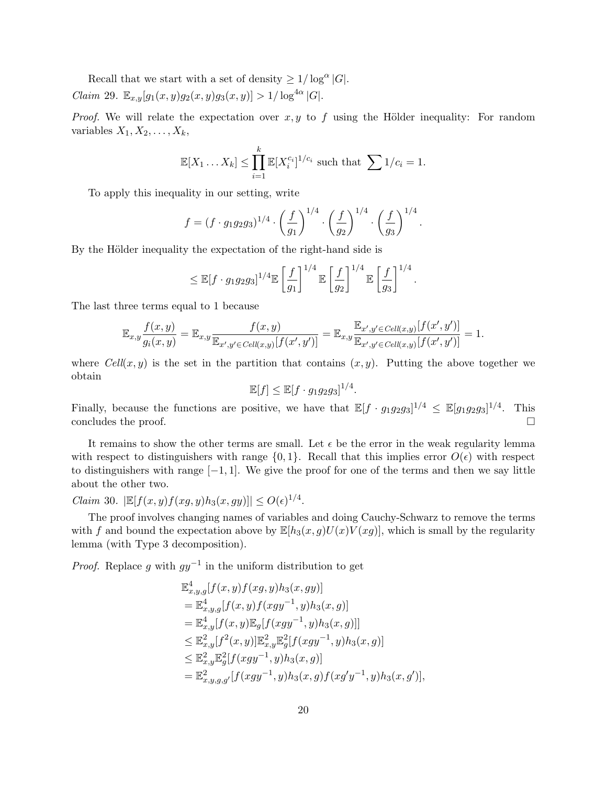<span id="page-19-0"></span>Recall that we start with a set of density  $\geq 1/\log^{\alpha} |G|$ . *Claim* 29.  $\mathbb{E}_{x,y}[g_1(x,y)g_2(x,y)g_3(x,y)] > 1/\log^{4\alpha} |G|$ .

*Proof.* We will relate the expectation over  $x, y$  to  $f$  using the Hölder inequality: For random variables  $X_1, X_2, \ldots, X_k$ ,

$$
\mathbb{E}[X_1 \dots X_k] \le \prod_{i=1}^k \mathbb{E}[X_i^{c_i}]^{1/c_i} \text{ such that } \sum 1/c_i = 1.
$$

To apply this inequality in our setting, write

$$
f = (f \cdot g_1 g_2 g_3)^{1/4} \cdot \left(\frac{f}{g_1}\right)^{1/4} \cdot \left(\frac{f}{g_2}\right)^{1/4} \cdot \left(\frac{f}{g_3}\right)^{1/4}.
$$

By the Hölder inequality the expectation of the right-hand side is

$$
\leq \mathbb{E}[f \cdot g_1 g_2 g_3]^{1/4} \mathbb{E}\left[\frac{f}{g_1}\right]^{1/4} \mathbb{E}\left[\frac{f}{g_2}\right]^{1/4} \mathbb{E}\left[\frac{f}{g_3}\right]^{1/4}.
$$

The last three terms equal to 1 because

$$
\mathbb{E}_{x,y} \frac{f(x,y)}{g_i(x,y)} = \mathbb{E}_{x,y} \frac{f(x,y)}{\mathbb{E}_{x',y' \in \text{Cell}(x,y)}[f(x',y')] } = \mathbb{E}_{x,y} \frac{\mathbb{E}_{x',y' \in \text{Cell}(x,y)}[f(x',y')] }{\mathbb{E}_{x',y' \in \text{Cell}(x,y)}[f(x',y')] } = 1.
$$

where  $Cell(x, y)$  is the set in the partition that contains  $(x, y)$ . Putting the above together we obtain

$$
\mathbb{E}[f] \le \mathbb{E}[f \cdot g_1 g_2 g_3]^{1/4}.
$$

Finally, because the functions are positive, we have that  $\mathbb{E}[f \cdot g_1g_2g_3]^{1/4} \leq \mathbb{E}[g_1g_2g_3]^{1/4}$ . This concludes the proof.

It remains to show the other terms are small. Let  $\epsilon$  be the error in the weak regularity lemma with respect to distinguishers with range  $\{0, 1\}$ . Recall that this implies error  $O(\epsilon)$  with respect to distinguishers with range  $[-1, 1]$ . We give the proof for one of the terms and then we say little about the other two.

<span id="page-19-1"></span>*Claim* 30.  $|\mathbb{E}[f(x,y)f(xg,y)h_3(x,gy)]| \le O(\epsilon)^{1/4}$ .

The proof involves changing names of variables and doing Cauchy-Schwarz to remove the terms with f and bound the expectation above by  $\mathbb{E}[h_3(x, g)U(x)V(xg)]$ , which is small by the regularity lemma (with Type 3 decomposition).

*Proof.* Replace g with  $gy^{-1}$  in the uniform distribution to get

$$
\mathbb{E}^{4}_{x,y,g}[f(x,y)f(xg,y)h_3(x,gy)]\n= \mathbb{E}^{4}_{x,y,g}[f(x,y)f(xgy^{-1},y)h_3(x,g)]\n= \mathbb{E}^{4}_{x,y}[f(x,y)\mathbb{E}_{g}[f(xgy^{-1},y)h_3(x,g)]]\n\leq \mathbb{E}^{2}_{x,y}[f^{2}(x,y)]\mathbb{E}^{2}_{x,y}\mathbb{E}^{2}_{g}[f(xgy^{-1},y)h_3(x,g)]\n\leq \mathbb{E}^{2}_{x,y}\mathbb{E}^{2}_{g}[f(xgy^{-1},y)h_3(x,g)]\n= \mathbb{E}^{2}_{x,y,g,g'}[f(xgy^{-1},y)h_3(x,g)f(xg'y^{-1},y)h_3(x,g')],
$$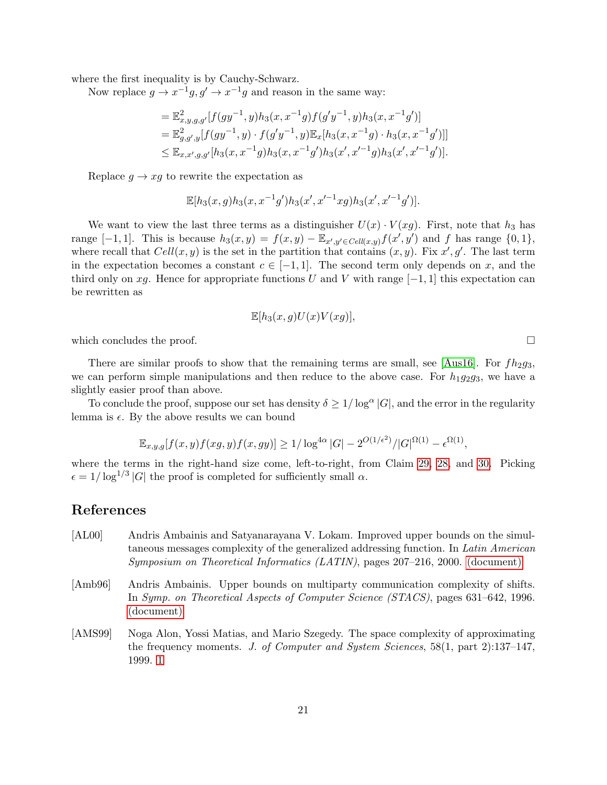where the first inequality is by Cauchy-Schwarz.

Now replace  $g \to x^{-1}g$ ,  $g' \to x^{-1}g$  and reason in the same way:

$$
= \mathbb{E}^2_{x,y,g,g'}[f(gy^{-1},y)h_3(x,x^{-1}g)f(g'y^{-1},y)h_3(x,x^{-1}g')]
$$
  
\n
$$
= \mathbb{E}^2_{g,g',y}[f(gy^{-1},y)\cdot f(g'y^{-1},y)\mathbb{E}_x[h_3(x,x^{-1}g)\cdot h_3(x,x^{-1}g')]]
$$
  
\n
$$
\leq \mathbb{E}_{x,x',g,g'}[h_3(x,x^{-1}g)h_3(x,x^{-1}g')h_3(x',x'^{-1}g)h_3(x',x'^{-1}g')].
$$

Replace  $g \to xg$  to rewrite the expectation as

$$
\mathbb{E}[h_3(x,g)h_3(x,x^{-1}g')h_3(x',x'^{-1}xg)h_3(x',x'^{-1}g')].
$$

We want to view the last three terms as a distinguisher  $U(x) \cdot V(xg)$ . First, note that  $h_3$  has range [-1,1]. This is because  $h_3(x,y) = f(x,y) - \mathbb{E}_{x',y' \in \text{Cell}(x,y)} f(x',y')$  and f has range  $\{0,1\},\$ where recall that  $Cell(x, y)$  is the set in the partition that contains  $(x, y)$ . Fix x', g'. The last term in the expectation becomes a constant  $c \in [-1,1]$ . The second term only depends on x, and the third only on xg. Hence for appropriate functions U and V with range  $[-1, 1]$  this expectation can be rewritten as

$$
\mathbb{E}[h_3(x,g)U(x)V(xg)],
$$

which concludes the proof.  $\Box$ 

There are similar proofs to show that the remaining terms are small, see [\[Aus16\]](#page-21-4). For  $fh_2g_3$ , we can perform simple manipulations and then reduce to the above case. For  $h_1g_2g_3$ , we have a slightly easier proof than above.

To conclude the proof, suppose our set has density  $\delta \geq 1/\log^{\alpha} |G|$ , and the error in the regularity lemma is  $\epsilon$ . By the above results we can bound

$$
\mathbb{E}_{x,y,g}[f(x,y)f(xg,y)f(x,gy)] \ge 1/\log^{4\alpha} |G| - 2^{O(1/\epsilon^2)} / |G|^{\Omega(1)} - \epsilon^{\Omega(1)},
$$

where the terms in the right-hand size come, left-to-right, from Claim [29,](#page-19-0) [28,](#page-18-0) and [30.](#page-19-1) Picking  $\epsilon = 1/\log^{1/3} |G|$  the proof is completed for sufficiently small  $\alpha$ .

# References

- <span id="page-20-1"></span>[AL00] Andris Ambainis and Satyanarayana V. Lokam. Improved upper bounds on the simultaneous messages complexity of the generalized addressing function. In Latin American Symposium on Theoretical Informatics (LATIN), pages 207–216, 2000. [\(document\)](#page-0-0)
- <span id="page-20-0"></span>[Amb96] Andris Ambainis. Upper bounds on multiparty communication complexity of shifts. In Symp. on Theoretical Aspects of Computer Science (STACS), pages 631–642, 1996. [\(document\)](#page-0-0)
- <span id="page-20-2"></span>[AMS99] Noga Alon, Yossi Matias, and Mario Szegedy. The space complexity of approximating the frequency moments. J. of Computer and System Sciences, 58(1, part 2):137–147, 1999. [1](#page-2-0)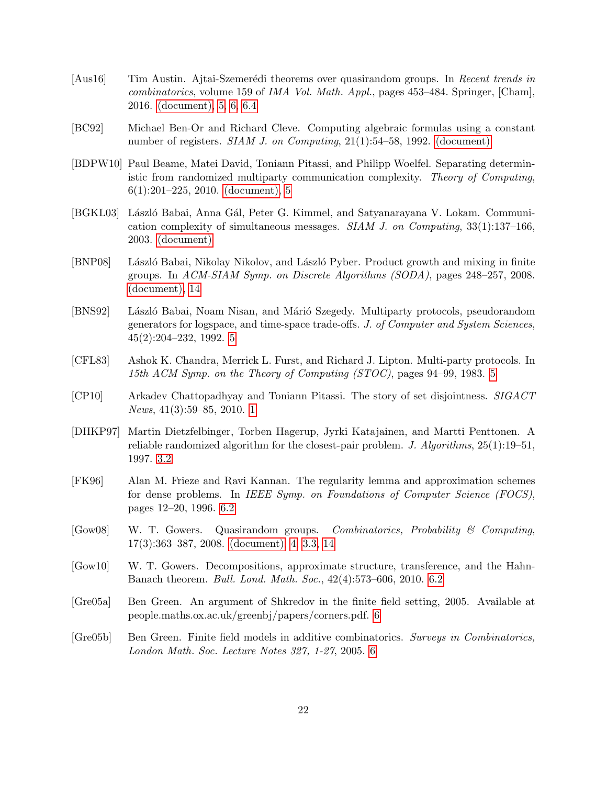- <span id="page-21-4"></span>[Aus16] Tim Austin. Ajtai-Szemerédi theorems over quasirandom groups. In Recent trends in combinatorics, volume 159 of IMA Vol. Math. Appl., pages 453–484. Springer, [Cham], 2016. [\(document\),](#page-0-0) [5,](#page-14-0) [6,](#page-15-0) [6.4](#page-19-1)
- <span id="page-21-0"></span>[BC92] Michael Ben-Or and Richard Cleve. Computing algebraic formulas using a constant number of registers. *SIAM J. on Computing*, 21(1):54–58, 1992. [\(document\)](#page-0-0)
- <span id="page-21-5"></span>[BDPW10] Paul Beame, Matei David, Toniann Pitassi, and Philipp Woelfel. Separating deterministic from randomized multiparty communication complexity. Theory of Computing, 6(1):201–225, 2010. [\(document\),](#page-0-0) [5](#page-13-2)
- <span id="page-21-1"></span>[BGKL03] László Babai, Anna Gál, Peter G. Kimmel, and Satyanarayana V. Lokam. Communication complexity of simultaneous messages. *SIAM J. on Computing*,  $33(1):137-166$ , 2003. [\(document\)](#page-0-0)
- <span id="page-21-3"></span>[BNP08] László Babai, Nikolay Nikolov, and László Pyber. Product growth and mixing in finite groups. In ACM-SIAM Symp. on Discrete Algorithms (SODA), pages 248–257, 2008. [\(document\),](#page-0-0) [14](#page-11-0)
- <span id="page-21-9"></span>[BNS92] László Babai, Noam Nisan, and Márió Szegedy. Multiparty protocols, pseudorandom generators for logspace, and time-space trade-offs. J. of Computer and System Sciences, 45(2):204–232, 1992. [5](#page-13-0)
- <span id="page-21-8"></span>[CFL83] Ashok K. Chandra, Merrick L. Furst, and Richard J. Lipton. Multi-party protocols. In 15th ACM Symp. on the Theory of Computing (STOC), pages 94–99, 1983. [5](#page-13-0)
- <span id="page-21-6"></span>[CP10] Arkadev Chattopadhyay and Toniann Pitassi. The story of set disjointness. SIGACT News, 41(3):59–85, 2010. [1](#page-2-0)
- <span id="page-21-7"></span>[DHKP97] Martin Dietzfelbinger, Torben Hagerup, Jyrki Katajainen, and Martti Penttonen. A reliable randomized algorithm for the closest-pair problem. J. Algorithms, 25(1):19–51, 1997. [3.2](#page-8-1)
- <span id="page-21-12"></span>[FK96] Alan M. Frieze and Ravi Kannan. The regularity lemma and approximation schemes for dense problems. In IEEE Symp. on Foundations of Computer Science (FOCS), pages 12–20, 1996. [6.2](#page-16-0)
- <span id="page-21-2"></span> $[Gow08]$  W. T. Gowers. Quasirandom groups. *Combinatorics, Probability & Computing*, 17(3):363–387, 2008. [\(document\),](#page-0-0) [4,](#page-2-1) [3.3,](#page-10-3) [14](#page-11-0)
- <span id="page-21-13"></span>[Gow10] W. T. Gowers. Decompositions, approximate structure, transference, and the Hahn-Banach theorem. Bull. Lond. Math. Soc., 42(4):573–606, 2010. [6.2](#page-16-0)
- <span id="page-21-11"></span>[Gre05a] Ben Green. An argument of Shkredov in the finite field setting, 2005. Available at people.maths.ox.ac.uk/greenbj/papers/corners.pdf. [6](#page-15-0)
- <span id="page-21-10"></span>[Gre05b] Ben Green. Finite field models in additive combinatorics. Surveys in Combinatorics, London Math. Soc. Lecture Notes 327, 1-27, 2005. [6](#page-15-0)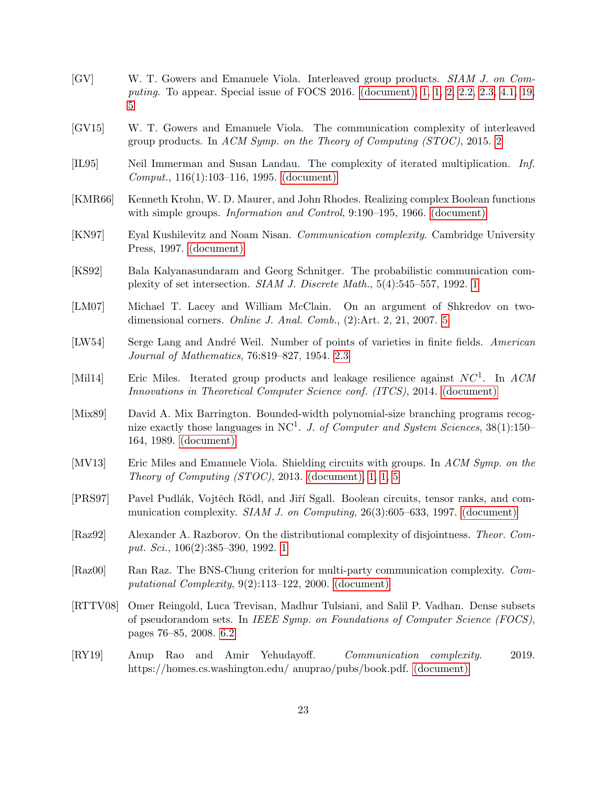- <span id="page-22-7"></span>[GV] W. T. Gowers and Emanuele Viola. Interleaved group products. SIAM J. on Computing. To appear. Special issue of FOCS 2016. [\(document\),](#page-0-0) [1,](#page-1-2) [1,](#page-1-1) [2,](#page-3-0) [2.2,](#page-5-0) [2.3,](#page-6-0) [4.1,](#page-11-1) [19,](#page-13-2) [5](#page-13-2)
- <span id="page-22-12"></span>[GV15] W. T. Gowers and Emanuele Viola. The communication complexity of interleaved group products. In ACM Symp. on the Theory of Computing (STOC), 2015. [2](#page-3-0)
- <span id="page-22-2"></span>[IL95] Neil Immerman and Susan Landau. The complexity of iterated multiplication. Inf. Comput., 116(1):103–116, 1995. [\(document\)](#page-0-0)
- <span id="page-22-0"></span>[KMR66] Kenneth Krohn, W. D. Maurer, and John Rhodes. Realizing complex Boolean functions with simple groups. *Information and Control*, 9:190–195, 1966. [\(document\)](#page-0-0)
- <span id="page-22-8"></span>[KN97] Eyal Kushilevitz and Noam Nisan. Communication complexity. Cambridge University Press, 1997. [\(document\)](#page-0-0)
- <span id="page-22-10"></span>[KS92] Bala Kalyanasundaram and Georg Schnitger. The probabilistic communication complexity of set intersection. SIAM J. Discrete Math., 5(4):545–557, 1992. [1](#page-2-0)
- <span id="page-22-14"></span>[LM07] Michael T. Lacey and William McClain. On an argument of Shkredov on twodimensional corners. Online J. Anal. Comb., (2):Art. 2, 21, 2007. [5](#page-14-0)
- <span id="page-22-13"></span>[LW54] Serge Lang and André Weil. Number of points of varieties in finite fields. American Journal of Mathematics, 76:819–827, 1954. [2.3](#page-6-0)
- <span id="page-22-6"></span>[Mil14] Eric Miles. Iterated group products and leakage resilience against  $NC<sup>1</sup>$ . In ACM Innovations in Theoretical Computer Science conf. (ITCS), 2014. [\(document\)](#page-0-0)
- <span id="page-22-1"></span>[Mix89] David A. Mix Barrington. Bounded-width polynomial-size branching programs recognize exactly those languages in NC<sup>1</sup>. J. of Computer and System Sciences,  $38(1):150-$ 164, 1989. [\(document\)](#page-0-0)
- <span id="page-22-5"></span>[MV13] Eric Miles and Emanuele Viola. Shielding circuits with groups. In ACM Symp. on the Theory of Computing  $(TOC)$ , 2013. [\(document\),](#page-0-0) [1,](#page-1-3) 1, [5](#page-13-0)
- <span id="page-22-3"></span>[PRS97] Pavel Pudlák, Vojtěch Rödl, and Jiří Sgall. Boolean circuits, tensor ranks, and communication complexity. *SIAM J. on Computing*,  $26(3):605-633$ , 1997. [\(document\)](#page-0-0)
- <span id="page-22-11"></span>[Raz92] Alexander A. Razborov. On the distributional complexity of disjointness. Theor. Comput. Sci., 106(2):385–390, 1992. [1](#page-2-0)
- <span id="page-22-4"></span>[Raz00] Ran Raz. The BNS-Chung criterion for multi-party communication complexity. Computational Complexity, 9(2):113–122, 2000. [\(document\)](#page-0-0)
- <span id="page-22-15"></span>[RTTV08] Omer Reingold, Luca Trevisan, Madhur Tulsiani, and Salil P. Vadhan. Dense subsets of pseudorandom sets. In IEEE Symp. on Foundations of Computer Science (FOCS), pages 76–85, 2008. [6.2](#page-16-0)
- <span id="page-22-9"></span>[RY19] Anup Rao and Amir Yehudayoff. Communication complexity. 2019. https://homes.cs.washington.edu/ anuprao/pubs/book.pdf. [\(document\)](#page-0-0)